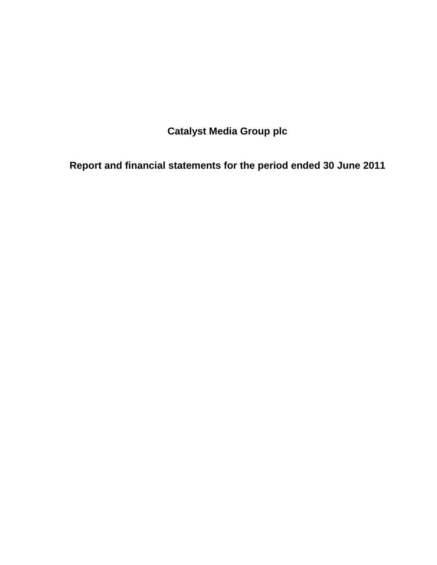**Catalyst Media Group plc** 

**Report and financial statements for the period ended 30 June 2011**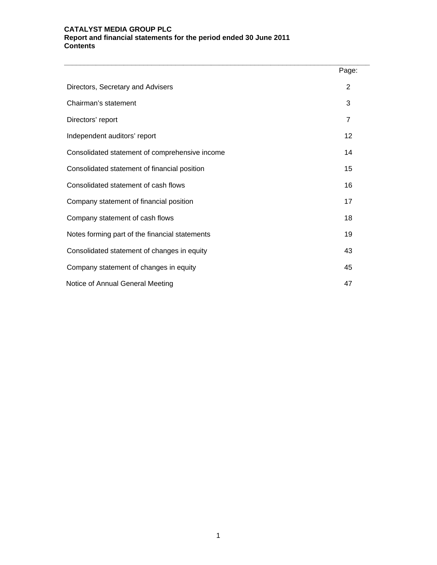#### **CATALYST MEDIA GROUP PLC Report and financial statements for the period ended 30 June 2011 Contents**

|                                                | Page: |
|------------------------------------------------|-------|
| Directors, Secretary and Advisers              | 2     |
| Chairman's statement                           | 3     |
| Directors' report                              | 7     |
| Independent auditors' report                   | 12    |
| Consolidated statement of comprehensive income | 14    |
| Consolidated statement of financial position   | 15    |
| Consolidated statement of cash flows           | 16    |
| Company statement of financial position        | 17    |
| Company statement of cash flows                | 18    |
| Notes forming part of the financial statements | 19    |
| Consolidated statement of changes in equity    | 43    |
| Company statement of changes in equity         | 45    |
| Notice of Annual General Meeting               | 47    |

**\_\_\_\_\_\_\_\_\_\_\_\_\_\_\_\_\_\_\_\_\_\_\_\_\_\_\_\_\_\_\_\_\_\_\_\_\_\_\_\_\_\_\_\_\_\_\_\_\_\_\_\_\_\_\_\_\_\_\_\_\_\_\_\_\_\_\_\_\_\_\_\_\_\_\_\_\_**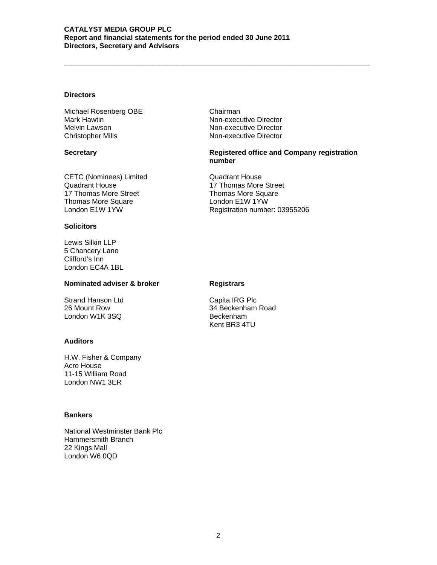#### **CATALYST MEDIA GROUP PLC Report and financial statements for the period ended 30 June 2011 Directors, Secretary and Advisors**

# **Directors**

Michael Rosenberg OBE Chairman<br>Mark Hawtin Chairman Non-exect Melvin Lawson Non-executive Director Christopher Mills **Non-executive Director** 

CETC (Nominees) Limited Cuadrant House<br>
Quadrant House 17 Thomas More 17 Thomas More Street Thomas More Square **London E1W 1YW**<br>
London E1W 1YW London Care Registration numbe

#### **Solicitors**

Lewis Silkin LLP 5 Chancery Lane Clifford's Inn London EC4A 1BL

# **Nominated adviser & broker Registrars**

Strand Hanson Ltd Capita IRG Plc London W1K 3SQ Beckenham

#### **Auditors**

H.W. Fisher & Company Acre House 11-15 William Road London NW1 3ER

#### **Bankers**

National Westminster Bank Plc Hammersmith Branch 22 Kings Mall London W6 0QD

Non-executive Director

**\_\_\_\_\_\_\_\_\_\_\_\_\_\_\_\_\_\_\_\_\_\_\_\_\_\_\_\_\_\_\_\_\_\_\_\_\_\_\_\_\_\_\_\_\_\_\_\_\_\_\_\_\_\_\_\_\_\_\_\_\_\_\_\_\_\_\_\_\_\_\_\_\_\_\_\_\_** 

### **Secretary Company Registered office and Company registration number**

17 Thomas More Street<br>Thomas More Square Registration number: 03955206

26 Mount Row 34 Beckenham Road Kent BR3 4TU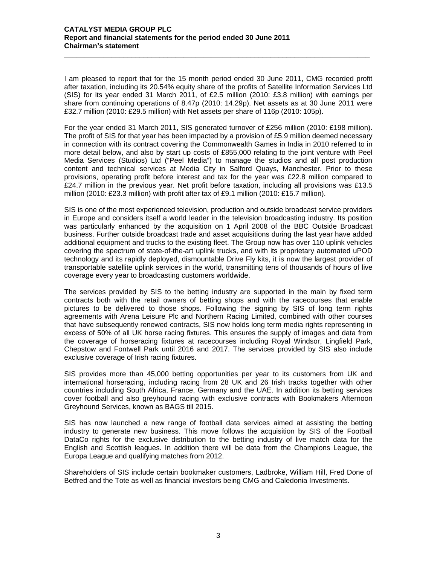#### **CATALYST MEDIA GROUP PLC Report and financial statements for the period ended 30 June 2011 Chairman's statement**

I am pleased to report that for the 15 month period ended 30 June 2011, CMG recorded profit after taxation, including its 20.54% equity share of the profits of Satellite Information Services Ltd (SIS) for its year ended 31 March 2011, of £2.5 million (2010: £3.8 million) with earnings per share from continuing operations of 8.47p (2010: 14.29p). Net assets as at 30 June 2011 were £32.7 million (2010: £29.5 million) with Net assets per share of 116p (2010: 105p).

**\_\_\_\_\_\_\_\_\_\_\_\_\_\_\_\_\_\_\_\_\_\_\_\_\_\_\_\_\_\_\_\_\_\_\_\_\_\_\_\_\_\_\_\_\_\_\_\_\_\_\_\_\_\_\_\_\_\_\_\_\_\_\_\_\_\_\_\_\_\_\_\_\_\_\_\_\_** 

For the year ended 31 March 2011, SIS generated turnover of £256 million (2010: £198 million). The profit of SIS for that year has been impacted by a provision of £5.9 million deemed necessary in connection with its contract covering the Commonwealth Games in India in 2010 referred to in more detail below, and also by start up costs of £855,000 relating to the joint venture with Peel Media Services (Studios) Ltd ("Peel Media") to manage the studios and all post production content and technical services at Media City in Salford Quays, Manchester. Prior to these provisions, operating profit before interest and tax for the year was £22.8 million compared to £24.7 million in the previous year. Net profit before taxation, including all provisions was £13.5 million (2010: £23.3 million) with profit after tax of £9.1 million (2010: £15.7 million).

SIS is one of the most experienced television, production and outside broadcast service providers in Europe and considers itself a world leader in the television broadcasting industry. Its position was particularly enhanced by the acquisition on 1 April 2008 of the BBC Outside Broadcast business. Further outside broadcast trade and asset acquisitions during the last year have added additional equipment and trucks to the existing fleet. The Group now has over 110 uplink vehicles covering the spectrum of state-of-the-art uplink trucks, and with its proprietary automated uPOD technology and its rapidly deployed, dismountable Drive Fly kits, it is now the largest provider of transportable satellite uplink services in the world, transmitting tens of thousands of hours of live coverage every year to broadcasting customers worldwide.

The services provided by SIS to the betting industry are supported in the main by fixed term contracts both with the retail owners of betting shops and with the racecourses that enable pictures to be delivered to those shops. Following the signing by SIS of long term rights agreements with Arena Leisure Plc and Northern Racing Limited, combined with other courses that have subsequently renewed contracts, SIS now holds long term media rights representing in excess of 50% of all UK horse racing fixtures. This ensures the supply of images and data from the coverage of horseracing fixtures at racecourses including Royal Windsor, Lingfield Park, Chepstow and Fontwell Park until 2016 and 2017. The services provided by SIS also include exclusive coverage of Irish racing fixtures.

SIS provides more than 45,000 betting opportunities per year to its customers from UK and international horseracing, including racing from 28 UK and 26 Irish tracks together with other countries including South Africa, France, Germany and the UAE. In addition its betting services cover football and also greyhound racing with exclusive contracts with Bookmakers Afternoon Greyhound Services, known as BAGS till 2015.

SIS has now launched a new range of football data services aimed at assisting the betting industry to generate new business. This move follows the acquisition by SIS of the Football DataCo rights for the exclusive distribution to the betting industry of live match data for the English and Scottish leagues. In addition there will be data from the Champions League, the Europa League and qualifying matches from 2012.

Shareholders of SIS include certain bookmaker customers, Ladbroke, William Hill, Fred Done of Betfred and the Tote as well as financial investors being CMG and Caledonia Investments.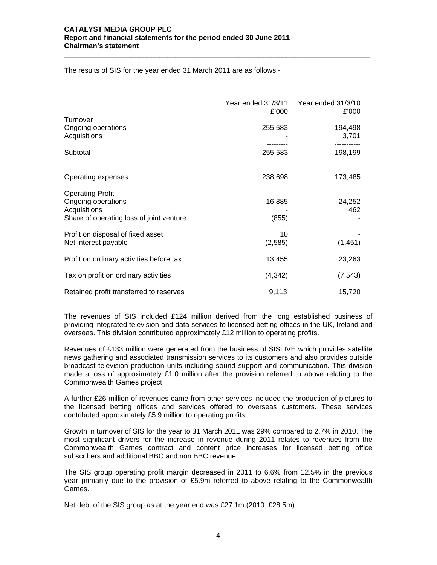The results of SIS for the year ended 31 March 2011 are as follows:-

|                                          | Year ended 31/3/11<br>£'000 | Year ended 31/3/10<br>£'000 |
|------------------------------------------|-----------------------------|-----------------------------|
| Turnover                                 |                             |                             |
| Ongoing operations                       | 255,583                     | 194,498                     |
| Acquisitions                             |                             | 3,701                       |
|                                          |                             |                             |
| Subtotal                                 | 255,583                     | 198,199                     |
| Operating expenses                       | 238,698                     | 173,485                     |
| <b>Operating Profit</b>                  |                             |                             |
| Ongoing operations                       | 16,885                      | 24,252                      |
| Acquisitions                             |                             | 462                         |
| Share of operating loss of joint venture | (855)                       |                             |
| Profit on disposal of fixed asset        | 10                          |                             |
| Net interest payable                     | (2,585)                     | (1, 451)                    |
| Profit on ordinary activities before tax | 13,455                      | 23,263                      |
| Tax on profit on ordinary activities     | (4,342)                     | (7, 543)                    |
| Retained profit transferred to reserves  | 9,113                       | 15,720                      |

**\_\_\_\_\_\_\_\_\_\_\_\_\_\_\_\_\_\_\_\_\_\_\_\_\_\_\_\_\_\_\_\_\_\_\_\_\_\_\_\_\_\_\_\_\_\_\_\_\_\_\_\_\_\_\_\_\_\_\_\_\_\_\_\_\_\_\_\_\_\_\_\_\_\_\_\_\_** 

The revenues of SIS included £124 million derived from the long established business of providing integrated television and data services to licensed betting offices in the UK, Ireland and overseas. This division contributed approximately £12 million to operating profits.

Revenues of £133 million were generated from the business of SISLIVE which provides satellite news gathering and associated transmission services to its customers and also provides outside broadcast television production units including sound support and communication. This division made a loss of approximately £1.0 million after the provision referred to above relating to the Commonwealth Games project.

A further £26 million of revenues came from other services included the production of pictures to the licensed betting offices and services offered to overseas customers. These services contributed approximately £5.9 million to operating profits.

Growth in turnover of SIS for the year to 31 March 2011 was 29% compared to 2.7% in 2010. The most significant drivers for the increase in revenue during 2011 relates to revenues from the Commonwealth Games contract and content price increases for licensed betting office subscribers and additional BBC and non BBC revenue.

The SIS group operating profit margin decreased in 2011 to 6.6% from 12.5% in the previous year primarily due to the provision of £5.9m referred to above relating to the Commonwealth Games.

Net debt of the SIS group as at the year end was £27.1m (2010: £28.5m).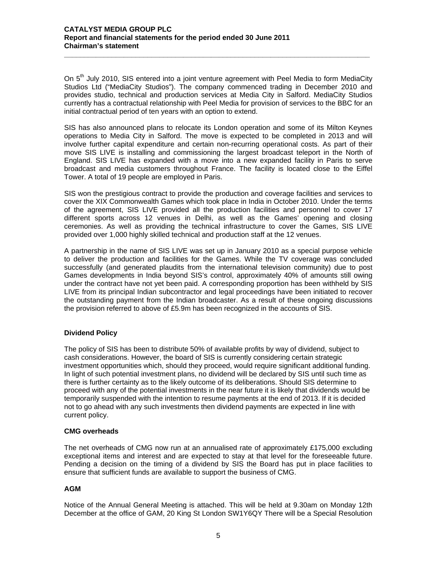On  $5<sup>th</sup>$  July 2010, SIS entered into a joint venture agreement with Peel Media to form MediaCity Studios Ltd ("MediaCity Studios"). The company commenced trading in December 2010 and provides studio, technical and production services at Media City in Salford. MediaCity Studios currently has a contractual relationship with Peel Media for provision of services to the BBC for an initial contractual period of ten years with an option to extend.

**\_\_\_\_\_\_\_\_\_\_\_\_\_\_\_\_\_\_\_\_\_\_\_\_\_\_\_\_\_\_\_\_\_\_\_\_\_\_\_\_\_\_\_\_\_\_\_\_\_\_\_\_\_\_\_\_\_\_\_\_\_\_\_\_\_\_\_\_\_\_\_\_\_\_\_\_\_** 

SIS has also announced plans to relocate its London operation and some of its Milton Keynes operations to Media City in Salford. The move is expected to be completed in 2013 and will involve further capital expenditure and certain non-recurring operational costs. As part of their move SIS LIVE is installing and commissioning the largest broadcast teleport in the North of England. SIS LIVE has expanded with a move into a new expanded facility in Paris to serve broadcast and media customers throughout France. The facility is located close to the Eiffel Tower. A total of 19 people are employed in Paris.

SIS won the prestigious contract to provide the production and coverage facilities and services to cover the XIX Commonwealth Games which took place in India in October 2010. Under the terms of the agreement, SIS LIVE provided all the production facilities and personnel to cover 17 different sports across 12 venues in Delhi, as well as the Games' opening and closing ceremonies. As well as providing the technical infrastructure to cover the Games, SIS LIVE provided over 1,000 highly skilled technical and production staff at the 12 venues.

A partnership in the name of SIS LIVE was set up in January 2010 as a special purpose vehicle to deliver the production and facilities for the Games. While the TV coverage was concluded successfully (and generated plaudits from the international television community) due to post Games developments in India beyond SIS's control, approximately 40% of amounts still owing under the contract have not yet been paid. A corresponding proportion has been withheld by SIS LIVE from its principal Indian subcontractor and legal proceedings have been initiated to recover the outstanding payment from the Indian broadcaster. As a result of these ongoing discussions the provision referred to above of £5.9m has been recognized in the accounts of SIS.

# **Dividend Policy**

The policy of SIS has been to distribute 50% of available profits by way of dividend, subject to cash considerations. However, the board of SIS is currently considering certain strategic investment opportunities which, should they proceed, would require significant additional funding. In light of such potential investment plans, no dividend will be declared by SIS until such time as there is further certainty as to the likely outcome of its deliberations. Should SIS determine to proceed with any of the potential investments in the near future it is likely that dividends would be temporarily suspended with the intention to resume payments at the end of 2013. If it is decided not to go ahead with any such investments then dividend payments are expected in line with current policy.

#### **CMG overheads**

The net overheads of CMG now run at an annualised rate of approximately £175,000 excluding exceptional items and interest and are expected to stay at that level for the foreseeable future. Pending a decision on the timing of a dividend by SIS the Board has put in place facilities to ensure that sufficient funds are available to support the business of CMG.

#### **AGM**

Notice of the Annual General Meeting is attached. This will be held at 9.30am on Monday 12th December at the office of GAM, 20 King St London SW1Y6QY There will be a Special Resolution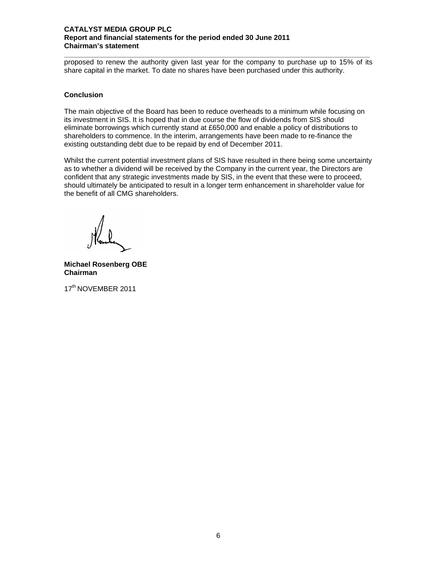#### **CATALYST MEDIA GROUP PLC Report and financial statements for the period ended 30 June 2011 Chairman's statement**

**\_\_\_\_\_\_\_\_\_\_\_\_\_\_\_\_\_\_\_\_\_\_\_\_\_\_\_\_\_\_\_\_\_\_\_\_\_\_\_\_\_\_\_\_\_\_\_\_\_\_\_\_\_\_\_\_\_\_\_\_\_\_\_\_\_\_\_\_\_\_\_\_\_\_\_\_\_**  proposed to renew the authority given last year for the company to purchase up to 15% of its share capital in the market. To date no shares have been purchased under this authority.

#### **Conclusion**

The main objective of the Board has been to reduce overheads to a minimum while focusing on its investment in SIS. It is hoped that in due course the flow of dividends from SIS should eliminate borrowings which currently stand at £650,000 and enable a policy of distributions to shareholders to commence. In the interim, arrangements have been made to re-finance the existing outstanding debt due to be repaid by end of December 2011.

Whilst the current potential investment plans of SIS have resulted in there being some uncertainty as to whether a dividend will be received by the Company in the current year, the Directors are confident that any strategic investments made by SIS, in the event that these were to proceed, should ultimately be anticipated to result in a longer term enhancement in shareholder value for the benefit of all CMG shareholders.

**Michael Rosenberg OBE Chairman** 

17<sup>th</sup> NOVEMBER 2011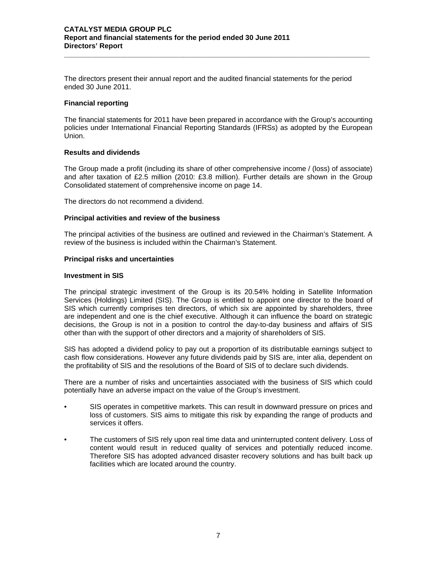#### **CATALYST MEDIA GROUP PLC Report and financial statements for the period ended 30 June 2011 Directors' Report**

The directors present their annual report and the audited financial statements for the period ended 30 June 2011.

**\_\_\_\_\_\_\_\_\_\_\_\_\_\_\_\_\_\_\_\_\_\_\_\_\_\_\_\_\_\_\_\_\_\_\_\_\_\_\_\_\_\_\_\_\_\_\_\_\_\_\_\_\_\_\_\_\_\_\_\_\_\_\_\_\_\_\_\_\_\_\_\_\_\_\_\_\_** 

#### **Financial reporting**

The financial statements for 2011 have been prepared in accordance with the Group's accounting policies under International Financial Reporting Standards (IFRSs) as adopted by the European Union.

# **Results and dividends**

The Group made a profit (including its share of other comprehensive income / (loss) of associate) and after taxation of £2.5 million (2010: £3.8 million). Further details are shown in the Group Consolidated statement of comprehensive income on page 14.

The directors do not recommend a dividend.

# **Principal activities and review of the business**

The principal activities of the business are outlined and reviewed in the Chairman's Statement. A review of the business is included within the Chairman's Statement.

# **Principal risks and uncertainties**

#### **Investment in SIS**

The principal strategic investment of the Group is its 20.54% holding in Satellite Information Services (Holdings) Limited (SIS). The Group is entitled to appoint one director to the board of SIS which currently comprises ten directors, of which six are appointed by shareholders, three are independent and one is the chief executive. Although it can influence the board on strategic decisions, the Group is not in a position to control the day-to-day business and affairs of SIS other than with the support of other directors and a majority of shareholders of SIS.

SIS has adopted a dividend policy to pay out a proportion of its distributable earnings subject to cash flow considerations. However any future dividends paid by SIS are, inter alia, dependent on the profitability of SIS and the resolutions of the Board of SIS of to declare such dividends.

There are a number of risks and uncertainties associated with the business of SIS which could potentially have an adverse impact on the value of the Group's investment.

- SIS operates in competitive markets. This can result in downward pressure on prices and loss of customers. SIS aims to mitigate this risk by expanding the range of products and services it offers.
- The customers of SIS rely upon real time data and uninterrupted content delivery. Loss of content would result in reduced quality of services and potentially reduced income. Therefore SIS has adopted advanced disaster recovery solutions and has built back up facilities which are located around the country.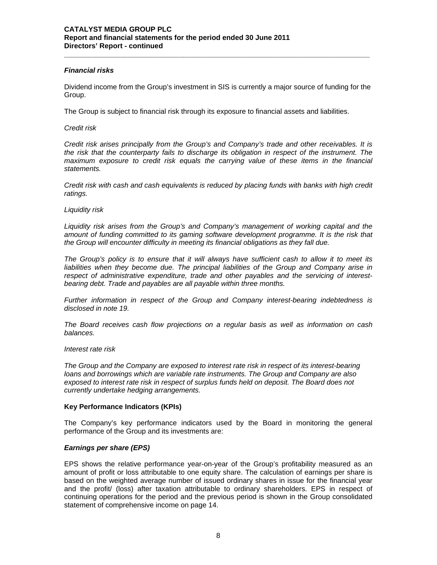#### *Financial risks*

Dividend income from the Group's investment in SIS is currently a major source of funding for the Group.

**\_\_\_\_\_\_\_\_\_\_\_\_\_\_\_\_\_\_\_\_\_\_\_\_\_\_\_\_\_\_\_\_\_\_\_\_\_\_\_\_\_\_\_\_\_\_\_\_\_\_\_\_\_\_\_\_\_\_\_\_\_\_\_\_\_\_\_\_\_\_\_\_\_\_\_\_\_** 

The Group is subject to financial risk through its exposure to financial assets and liabilities.

### *Credit risk*

*Credit risk arises principally from the Group's and Company's trade and other receivables. It is the risk that the counterparty fails to discharge its obligation in respect of the instrument. The*  maximum exposure to credit risk equals the carrying value of these items in the financial *statements.* 

*Credit risk with cash and cash equivalents is reduced by placing funds with banks with high credit ratings.* 

#### *Liquidity risk*

*Liquidity risk arises from the Group's and Company's management of working capital and the*  amount of funding committed to its gaming software development programme. It is the risk that *the Group will encounter difficulty in meeting its financial obligations as they fall due.* 

*The Group's policy is to ensure that it will always have sufficient cash to allow it to meet its liabilities when they become due. The principal liabilities of the Group and Company arise in respect of administrative expenditure, trade and other payables and the servicing of interestbearing debt. Trade and payables are all payable within three months.* 

*Further information in respect of the Group and Company interest-bearing indebtedness is disclosed in note 19.* 

*The Board receives cash flow projections on a regular basis as well as information on cash balances.* 

#### *Interest rate risk*

*The Group and the Company are exposed to interest rate risk in respect of its interest-bearing loans and borrowings which are variable rate instruments. The Group and Company are also exposed to interest rate risk in respect of surplus funds held on deposit. The Board does not currently undertake hedging arrangements.* 

#### **Key Performance Indicators (KPIs)**

The Company's key performance indicators used by the Board in monitoring the general performance of the Group and its investments are:

#### *Earnings per share (EPS)*

EPS shows the relative performance year-on-year of the Group's profitability measured as an amount of profit or loss attributable to one equity share. The calculation of earnings per share is based on the weighted average number of issued ordinary shares in issue for the financial year and the profit/ (loss) after taxation attributable to ordinary shareholders. EPS in respect of continuing operations for the period and the previous period is shown in the Group consolidated statement of comprehensive income on page 14.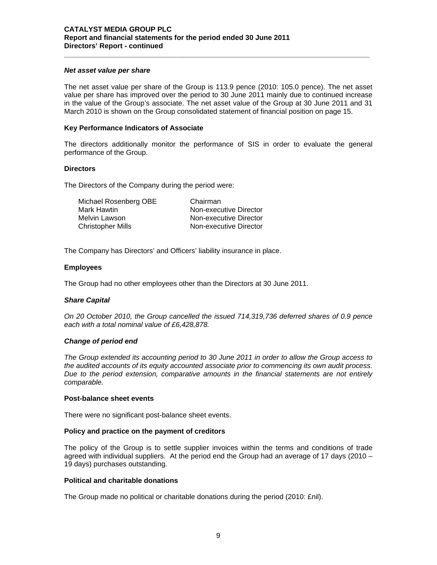#### *Net asset value per share*

The net asset value per share of the Group is 113.9 pence (2010: 105.0 pence). The net asset value per share has improved over the period to 30 June 2011 mainly due to continued increase in the value of the Group's associate. The net asset value of the Group at 30 June 2011 and 31 March 2010 is shown on the Group consolidated statement of financial position on page 15.

**\_\_\_\_\_\_\_\_\_\_\_\_\_\_\_\_\_\_\_\_\_\_\_\_\_\_\_\_\_\_\_\_\_\_\_\_\_\_\_\_\_\_\_\_\_\_\_\_\_\_\_\_\_\_\_\_\_\_\_\_\_\_\_\_\_\_\_\_\_\_\_\_\_\_\_\_\_** 

#### **Key Performance Indicators of Associate**

The directors additionally monitor the performance of SIS in order to evaluate the general performance of the Group.

#### **Directors**

The Directors of the Company during the period were:

| Michael Rosenberg OBE    | Chairman               |
|--------------------------|------------------------|
| Mark Hawtin              | Non-executive Director |
| Melvin Lawson            | Non-executive Director |
| <b>Christopher Mills</b> | Non-executive Director |

The Company has Directors' and Officers' liability insurance in place.

# **Employees**

The Group had no other employees other than the Directors at 30 June 2011.

#### *Share Capital*

*On 20 October 2010, the Group cancelled the issued 714,319,736 deferred shares of 0.9 pence each with a total nominal value of £6,428,878.*

#### *Change of period end*

*The Group extended its accounting period to 30 June 2011 in order to allow the Group access to the audited accounts of its equity accounted associate prior to commencing its own audit process. Due to the period extension, comparative amounts in the financial statements are not entirely comparable.* 

#### **Post-balance sheet events**

There were no significant post-balance sheet events.

#### **Policy and practice on the payment of creditors**

The policy of the Group is to settle supplier invoices within the terms and conditions of trade agreed with individual suppliers. At the period end the Group had an average of 17 days (2010 – 19 days) purchases outstanding.

#### **Political and charitable donations**

The Group made no political or charitable donations during the period (2010: £nil).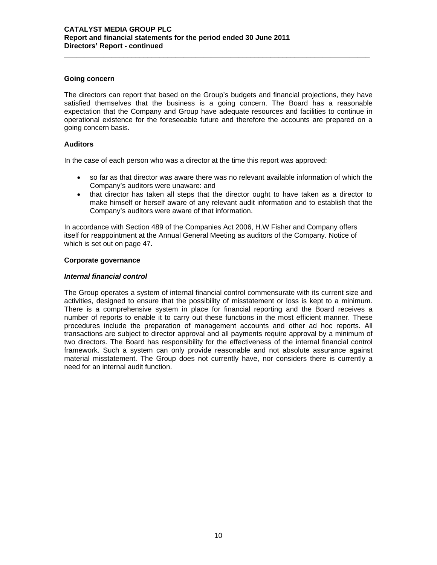#### **Going concern**

The directors can report that based on the Group's budgets and financial projections, they have satisfied themselves that the business is a going concern. The Board has a reasonable expectation that the Company and Group have adequate resources and facilities to continue in operational existence for the foreseeable future and therefore the accounts are prepared on a going concern basis.

**\_\_\_\_\_\_\_\_\_\_\_\_\_\_\_\_\_\_\_\_\_\_\_\_\_\_\_\_\_\_\_\_\_\_\_\_\_\_\_\_\_\_\_\_\_\_\_\_\_\_\_\_\_\_\_\_\_\_\_\_\_\_\_\_\_\_\_\_\_\_\_\_\_\_\_\_\_** 

# **Auditors**

In the case of each person who was a director at the time this report was approved:

- so far as that director was aware there was no relevant available information of which the Company's auditors were unaware: and
- that director has taken all steps that the director ought to have taken as a director to make himself or herself aware of any relevant audit information and to establish that the Company's auditors were aware of that information.

In accordance with Section 489 of the Companies Act 2006, H.W Fisher and Company offers itself for reappointment at the Annual General Meeting as auditors of the Company. Notice of which is set out on page 47.

#### **Corporate governance**

# *Internal financial control*

The Group operates a system of internal financial control commensurate with its current size and activities, designed to ensure that the possibility of misstatement or loss is kept to a minimum. There is a comprehensive system in place for financial reporting and the Board receives a number of reports to enable it to carry out these functions in the most efficient manner. These procedures include the preparation of management accounts and other ad hoc reports. All transactions are subject to director approval and all payments require approval by a minimum of two directors. The Board has responsibility for the effectiveness of the internal financial control framework. Such a system can only provide reasonable and not absolute assurance against material misstatement. The Group does not currently have, nor considers there is currently a need for an internal audit function.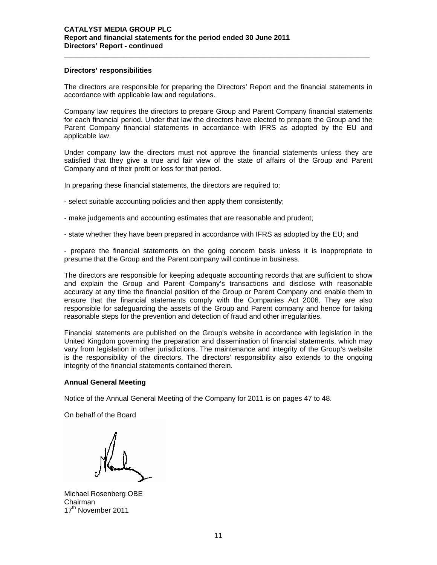#### **Directors' responsibilities**

The directors are responsible for preparing the Directors' Report and the financial statements in accordance with applicable law and regulations.

**\_\_\_\_\_\_\_\_\_\_\_\_\_\_\_\_\_\_\_\_\_\_\_\_\_\_\_\_\_\_\_\_\_\_\_\_\_\_\_\_\_\_\_\_\_\_\_\_\_\_\_\_\_\_\_\_\_\_\_\_\_\_\_\_\_\_\_\_\_\_\_\_\_\_\_\_\_** 

Company law requires the directors to prepare Group and Parent Company financial statements for each financial period. Under that law the directors have elected to prepare the Group and the Parent Company financial statements in accordance with IFRS as adopted by the EU and applicable law.

Under company law the directors must not approve the financial statements unless they are satisfied that they give a true and fair view of the state of affairs of the Group and Parent Company and of their profit or loss for that period.

In preparing these financial statements, the directors are required to:

- select suitable accounting policies and then apply them consistently;
- make judgements and accounting estimates that are reasonable and prudent;
- state whether they have been prepared in accordance with IFRS as adopted by the EU; and

- prepare the financial statements on the going concern basis unless it is inappropriate to presume that the Group and the Parent company will continue in business.

The directors are responsible for keeping adequate accounting records that are sufficient to show and explain the Group and Parent Company's transactions and disclose with reasonable accuracy at any time the financial position of the Group or Parent Company and enable them to ensure that the financial statements comply with the Companies Act 2006. They are also responsible for safeguarding the assets of the Group and Parent company and hence for taking reasonable steps for the prevention and detection of fraud and other irregularities.

Financial statements are published on the Group's website in accordance with legislation in the United Kingdom governing the preparation and dissemination of financial statements, which may vary from legislation in other jurisdictions. The maintenance and integrity of the Group's website is the responsibility of the directors. The directors' responsibility also extends to the ongoing integrity of the financial statements contained therein.

#### **Annual General Meeting**

Notice of the Annual General Meeting of the Company for 2011 is on pages 47 to 48.

On behalf of the Board

Michael Rosenberg OBE Chairman 17<sup>th</sup> November 2011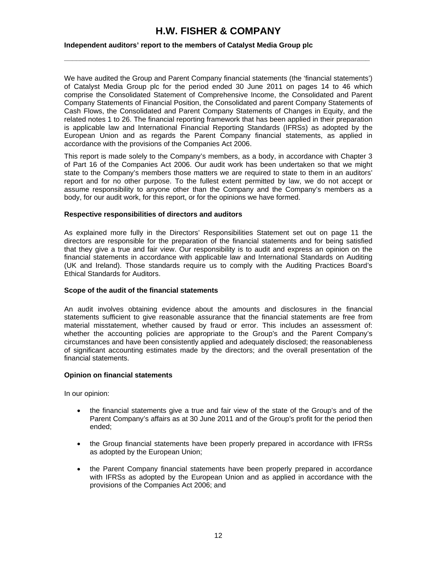# **H.W. FISHER & COMPANY**

**\_\_\_\_\_\_\_\_\_\_\_\_\_\_\_\_\_\_\_\_\_\_\_\_\_\_\_\_\_\_\_\_\_\_\_\_\_\_\_\_\_\_\_\_\_\_\_\_\_\_\_\_\_\_\_\_\_\_\_\_\_\_\_\_\_\_\_\_\_\_\_\_\_\_\_\_\_**

# **Independent auditors' report to the members of Catalyst Media Group plc**

We have audited the Group and Parent Company financial statements (the 'financial statements') of Catalyst Media Group plc for the period ended 30 June 2011 on pages 14 to 46 which comprise the Consolidated Statement of Comprehensive Income, the Consolidated and Parent Company Statements of Financial Position, the Consolidated and parent Company Statements of Cash Flows, the Consolidated and Parent Company Statements of Changes in Equity, and the related notes 1 to 26. The financial reporting framework that has been applied in their preparation is applicable law and International Financial Reporting Standards (IFRSs) as adopted by the European Union and as regards the Parent Company financial statements, as applied in accordance with the provisions of the Companies Act 2006.

This report is made solely to the Company's members, as a body, in accordance with Chapter 3 of Part 16 of the Companies Act 2006. Our audit work has been undertaken so that we might state to the Company's members those matters we are required to state to them in an auditors' report and for no other purpose. To the fullest extent permitted by law, we do not accept or assume responsibility to anyone other than the Company and the Company's members as a body, for our audit work, for this report, or for the opinions we have formed.

#### **Respective responsibilities of directors and auditors**

As explained more fully in the Directors' Responsibilities Statement set out on page 11 the directors are responsible for the preparation of the financial statements and for being satisfied that they give a true and fair view. Our responsibility is to audit and express an opinion on the financial statements in accordance with applicable law and International Standards on Auditing (UK and Ireland). Those standards require us to comply with the Auditing Practices Board's Ethical Standards for Auditors.

#### **Scope of the audit of the financial statements**

An audit involves obtaining evidence about the amounts and disclosures in the financial statements sufficient to give reasonable assurance that the financial statements are free from material misstatement, whether caused by fraud or error. This includes an assessment of: whether the accounting policies are appropriate to the Group's and the Parent Company's circumstances and have been consistently applied and adequately disclosed; the reasonableness of significant accounting estimates made by the directors; and the overall presentation of the financial statements.

#### **Opinion on financial statements**

In our opinion:

- the financial statements give a true and fair view of the state of the Group's and of the Parent Company's affairs as at 30 June 2011 and of the Group's profit for the period then ended;
- the Group financial statements have been properly prepared in accordance with IFRSs as adopted by the European Union;
- the Parent Company financial statements have been properly prepared in accordance with IFRSs as adopted by the European Union and as applied in accordance with the provisions of the Companies Act 2006; and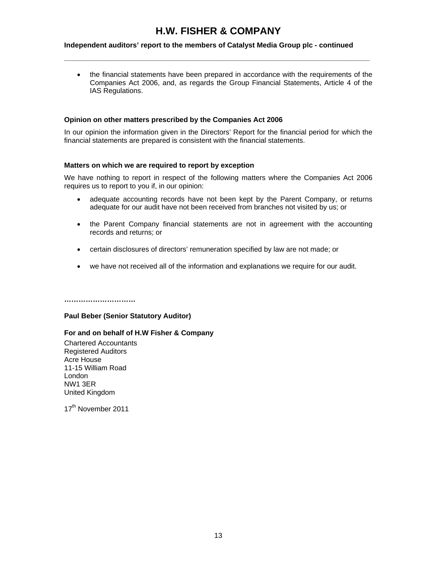# **H.W. FISHER & COMPANY**

**\_\_\_\_\_\_\_\_\_\_\_\_\_\_\_\_\_\_\_\_\_\_\_\_\_\_\_\_\_\_\_\_\_\_\_\_\_\_\_\_\_\_\_\_\_\_\_\_\_\_\_\_\_\_\_\_\_\_\_\_\_\_\_\_\_\_\_\_\_\_\_\_\_\_\_\_\_** 

# **Independent auditors' report to the members of Catalyst Media Group plc - continued**

• the financial statements have been prepared in accordance with the requirements of the Companies Act 2006, and, as regards the Group Financial Statements, Article 4 of the IAS Regulations.

### **Opinion on other matters prescribed by the Companies Act 2006**

In our opinion the information given in the Directors' Report for the financial period for which the financial statements are prepared is consistent with the financial statements.

#### **Matters on which we are required to report by exception**

We have nothing to report in respect of the following matters where the Companies Act 2006 requires us to report to you if, in our opinion:

- adequate accounting records have not been kept by the Parent Company, or returns adequate for our audit have not been received from branches not visited by us; or
- the Parent Company financial statements are not in agreement with the accounting records and returns; or
- certain disclosures of directors' remuneration specified by law are not made; or
- we have not received all of the information and explanations we require for our audit.

**…………………………** 

#### **Paul Beber (Senior Statutory Auditor)**

#### **For and on behalf of H.W Fisher & Company**

Chartered Accountants Registered Auditors Acre House 11-15 William Road London NW1 3ER United Kingdom

17<sup>th</sup> November 2011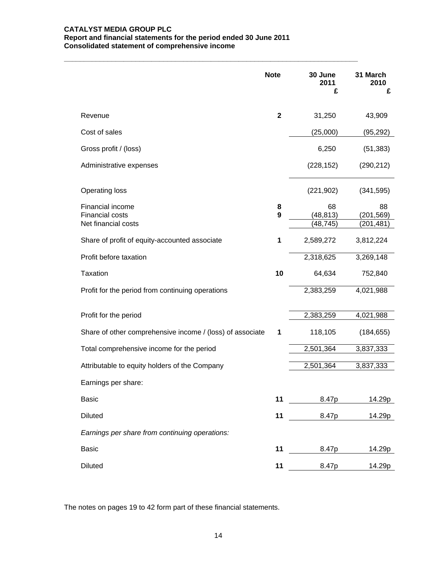#### **CATALYST MEDIA GROUP PLC Report and financial statements for the period ended 30 June 2011 Consolidated statement of comprehensive income**

**\_\_\_\_\_\_\_\_\_\_\_\_\_\_\_\_\_\_\_\_\_\_\_\_\_\_\_\_\_\_\_\_\_\_\_\_\_\_\_\_\_\_\_\_\_\_\_\_\_\_\_\_\_\_\_\_\_\_\_\_\_\_\_\_\_\_\_\_\_\_\_\_\_\_** 

|                                                                   | <b>Note</b>  | 30 June<br>2011<br>£         | 31 March<br>2010<br>£        |
|-------------------------------------------------------------------|--------------|------------------------------|------------------------------|
| Revenue                                                           | $\mathbf{2}$ | 31,250                       | 43,909                       |
| Cost of sales                                                     |              | (25,000)                     | (95,292)                     |
| Gross profit / (loss)                                             |              | 6,250                        | (51, 383)                    |
| Administrative expenses                                           |              | (228, 152)                   | (290, 212)                   |
| <b>Operating loss</b>                                             |              | (221, 902)                   | (341, 595)                   |
| Financial income<br><b>Financial costs</b><br>Net financial costs | 8<br>9       | 68<br>(48, 813)<br>(48, 745) | 88<br>(201,569)<br>(201,481) |
| Share of profit of equity-accounted associate                     | 1            | 2,589,272                    | 3,812,224                    |
| Profit before taxation                                            |              | 2,318,625                    | 3,269,148                    |
| <b>Taxation</b>                                                   | 10           | 64,634                       | 752,840                      |
| Profit for the period from continuing operations                  |              | 2,383,259                    | 4,021,988                    |
| Profit for the period                                             |              | 2,383,259                    | 4,021,988                    |
| Share of other comprehensive income / (loss) of associate         | 1            | 118,105                      | (184, 655)                   |
| Total comprehensive income for the period                         |              | 2,501,364                    | 3,837,333                    |
| Attributable to equity holders of the Company                     |              | 2,501,364                    | 3,837,333                    |
| Earnings per share:                                               |              |                              |                              |
| <b>Basic</b>                                                      | 11           | 8.47p                        | 14.29p                       |
| <b>Diluted</b>                                                    | 11           | 8.47p                        | 14.29p                       |
| Earnings per share from continuing operations:                    |              |                              |                              |
| Basic                                                             | 11           | 8.47p                        | 14.29p                       |
| <b>Diluted</b>                                                    | 11           | 8.47p                        | 14.29p                       |

The notes on pages 19 to 42 form part of these financial statements.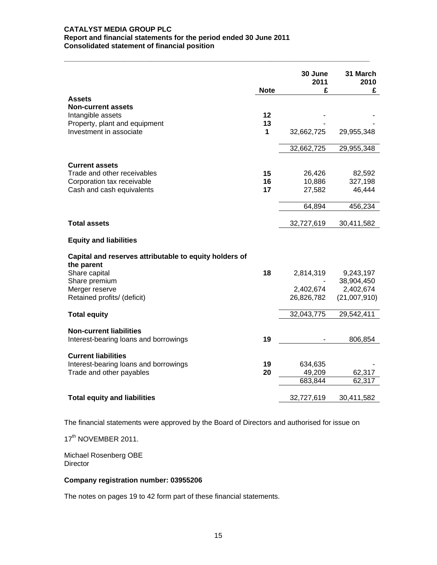#### **CATALYST MEDIA GROUP PLC Report and financial statements for the period ended 30 June 2011 Consolidated statement of financial position**

|                                                                      | <b>Note</b> | 30 June<br>2011<br>£ | 31 March<br>2010<br>£ |
|----------------------------------------------------------------------|-------------|----------------------|-----------------------|
| <b>Assets</b>                                                        |             |                      |                       |
| <b>Non-current assets</b>                                            |             |                      |                       |
| Intangible assets                                                    | 12          |                      |                       |
| Property, plant and equipment                                        | 13          |                      |                       |
| Investment in associate                                              | 1           | 32,662,725           | 29,955,348            |
|                                                                      |             | 32,662,725           | 29,955,348            |
| <b>Current assets</b>                                                |             |                      |                       |
| Trade and other receivables                                          | 15          | 26,426               | 82,592                |
| Corporation tax receivable                                           | 16          | 10,886               | 327,198               |
| Cash and cash equivalents                                            | 17          | 27,582               | 46,444                |
|                                                                      |             |                      |                       |
|                                                                      |             | 64,894               | 456,234               |
|                                                                      |             |                      |                       |
| <b>Total assets</b>                                                  |             | 32,727,619           | 30,411,582            |
| <b>Equity and liabilities</b>                                        |             |                      |                       |
| Capital and reserves attributable to equity holders of<br>the parent |             |                      |                       |
| Share capital                                                        | 18          | 2,814,319            | 9,243,197             |
| Share premium                                                        |             |                      | 38,904,450            |
| Merger reserve                                                       |             | 2,402,674            | 2,402,674             |
| Retained profits/ (deficit)                                          |             | 26,826,782           | (21,007,910)          |
| <b>Total equity</b>                                                  |             | 32,043,775           | 29,542,411            |
|                                                                      |             |                      |                       |
| <b>Non-current liabilities</b>                                       |             |                      |                       |
| Interest-bearing loans and borrowings                                | 19          |                      | 806,854               |
| <b>Current liabilities</b>                                           |             |                      |                       |
| Interest-bearing loans and borrowings                                | 19          | 634,635              |                       |
| Trade and other payables                                             | 20          | 49,209               | 62,317                |
|                                                                      |             | 683,844              | 62,317                |
| <b>Total equity and liabilities</b>                                  |             | 32,727,619           | 30,411,582            |

**\_\_\_\_\_\_\_\_\_\_\_\_\_\_\_\_\_\_\_\_\_\_\_\_\_\_\_\_\_\_\_\_\_\_\_\_\_\_\_\_\_\_\_\_\_\_\_\_\_\_\_\_\_\_\_\_\_\_\_\_\_\_\_\_\_\_\_\_\_\_\_\_\_\_\_\_\_** 

The financial statements were approved by the Board of Directors and authorised for issue on

17<sup>th</sup> NOVEMBER 2011.

Michael Rosenberg OBE **Director** 

# **Company registration number: 03955206**

The notes on pages 19 to 42 form part of these financial statements.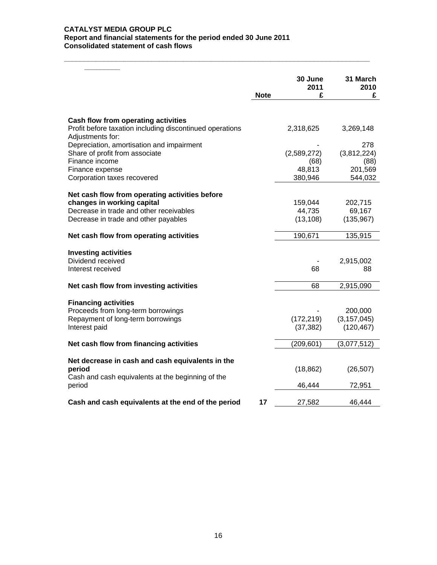#### **CATALYST MEDIA GROUP PLC Report and financial statements for the period ended 30 June 2011 Consolidated statement of cash flows**

|                                                                              |             | 30 June<br>2011 | 31 March<br>2010 |
|------------------------------------------------------------------------------|-------------|-----------------|------------------|
|                                                                              | <b>Note</b> | £               | £                |
|                                                                              |             |                 |                  |
| Cash flow from operating activities                                          |             |                 |                  |
| Profit before taxation including discontinued operations<br>Adjustments for: |             | 2,318,625       | 3,269,148        |
| Depreciation, amortisation and impairment                                    |             |                 | 278              |
| Share of profit from associate                                               |             | (2,589,272)     | (3,812,224)      |
| Finance income                                                               |             | (68)            | (88)             |
| Finance expense                                                              |             | 48,813          | 201,569          |
| Corporation taxes recovered                                                  |             | 380,946         | 544,032          |
| Net cash flow from operating activities before                               |             |                 |                  |
| changes in working capital                                                   |             | 159,044         | 202,715          |
| Decrease in trade and other receivables                                      |             | 44,735          | 69,167           |
| Decrease in trade and other payables                                         |             | (13, 108)       | (135, 967)       |
| Net cash flow from operating activities                                      |             | 190,671         | 135,915          |
| <b>Investing activities</b>                                                  |             |                 |                  |
| Dividend received                                                            |             |                 | 2,915,002        |
| Interest received                                                            |             | 68              | 88               |
| Net cash flow from investing activities                                      |             | 68              | 2,915,090        |
|                                                                              |             |                 |                  |
| <b>Financing activities</b><br>Proceeds from long-term borrowings            |             |                 | 200,000          |
| Repayment of long-term borrowings                                            |             | (172, 219)      | (3, 157, 045)    |
| Interest paid                                                                |             | (37, 382)       | (120, 467)       |
|                                                                              |             |                 |                  |
| Net cash flow from financing activities                                      |             | (209, 601)      | (3,077,512)      |
| Net decrease in cash and cash equivalents in the                             |             |                 |                  |
| period                                                                       |             | (18, 862)       | (26, 507)        |
| Cash and cash equivalents at the beginning of the                            |             |                 |                  |
| period                                                                       |             | 46,444          | 72,951           |
| Cash and cash equivalents at the end of the period                           | 17          | 27,582          | 46,444           |
|                                                                              |             |                 |                  |

**\_\_\_\_\_\_\_\_\_\_\_\_\_\_\_\_\_\_\_\_\_\_\_\_\_\_\_\_\_\_\_\_\_\_\_\_\_\_\_\_\_\_\_\_\_\_\_\_\_\_\_\_\_\_\_\_\_\_\_\_\_\_\_\_\_\_\_\_\_\_\_\_\_\_\_\_\_**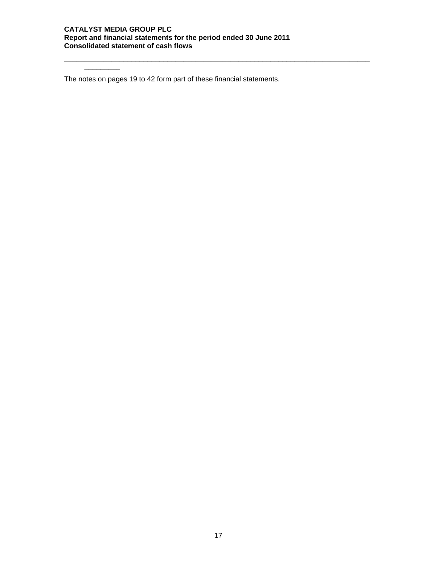#### **CATALYST MEDIA GROUP PLC Report and financial statements for the period ended 30 June 2011 Consolidated statement of cash flows**

**\_\_\_\_\_\_\_\_\_\_\_\_\_\_\_\_\_\_\_\_\_\_\_\_\_\_\_\_\_\_\_\_\_\_\_\_\_\_\_\_\_\_\_\_\_\_\_\_\_\_\_\_\_\_\_\_\_\_\_\_\_\_\_\_\_\_\_\_\_\_\_\_\_\_\_\_\_**

The notes on pages 19 to 42 form part of these financial statements.

**\_\_\_\_\_\_\_\_\_**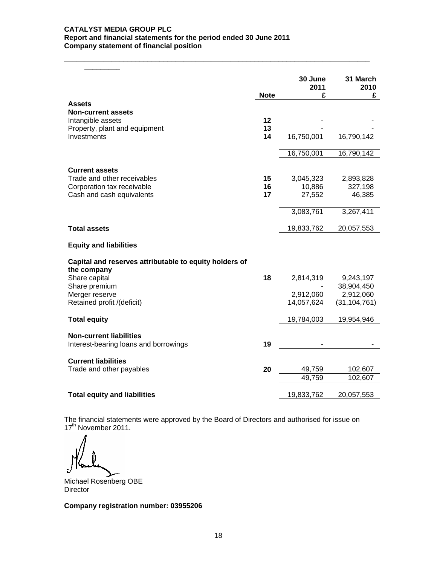#### **CATALYST MEDIA GROUP PLC Report and financial statements for the period ended 30 June 2011 Company statement of financial position**

|                                                        |             | 30 June<br>2011 | 31 March<br>2010            |
|--------------------------------------------------------|-------------|-----------------|-----------------------------|
|                                                        | <b>Note</b> | £               | £                           |
| <b>Assets</b><br><b>Non-current assets</b>             |             |                 |                             |
| Intangible assets                                      | 12          |                 |                             |
| Property, plant and equipment                          | 13          |                 |                             |
| Investments                                            | 14          | 16,750,001      | 16,790,142                  |
|                                                        |             | 16,750,001      | 16,790,142                  |
| <b>Current assets</b>                                  |             |                 |                             |
| Trade and other receivables                            | 15          | 3,045,323       | 2,893,828                   |
| Corporation tax receivable                             | 16          | 10,886          | 327,198                     |
| Cash and cash equivalents                              | 17          | 27,552          | 46,385                      |
|                                                        |             | 3,083,761       | 3,267,411                   |
| <b>Total assets</b>                                    |             | 19,833,762      | 20,057,553                  |
| <b>Equity and liabilities</b>                          |             |                 |                             |
| Capital and reserves attributable to equity holders of |             |                 |                             |
| the company                                            |             |                 |                             |
| Share capital                                          | 18          | 2,814,319       | 9,243,197                   |
| Share premium                                          |             |                 | 38,904,450                  |
| Merger reserve<br>Retained profit /(deficit)           |             | 2,912,060       | 2,912,060<br>(31, 104, 761) |
|                                                        |             | 14,057,624      |                             |
| <b>Total equity</b>                                    |             | 19,784,003      | 19,954,946                  |
| <b>Non-current liabilities</b>                         |             |                 |                             |
| Interest-bearing loans and borrowings                  | 19          |                 |                             |
| <b>Current liabilities</b>                             |             |                 |                             |
| Trade and other payables                               | 20          | 49,759          | 102,607                     |
|                                                        |             | 49,759          | 102,607                     |
| <b>Total equity and liabilities</b>                    |             | 19,833,762      | 20,057,553                  |

**\_\_\_\_\_\_\_\_\_\_\_\_\_\_\_\_\_\_\_\_\_\_\_\_\_\_\_\_\_\_\_\_\_\_\_\_\_\_\_\_\_\_\_\_\_\_\_\_\_\_\_\_\_\_\_\_\_\_\_\_\_\_\_\_\_\_\_\_\_\_\_\_\_\_\_\_\_**

The financial statements were approved by the Board of Directors and authorised for issue on 17<sup>th</sup> November 2011.

Michael Rosenberg OBE **Director** 

**Company registration number: 03955206**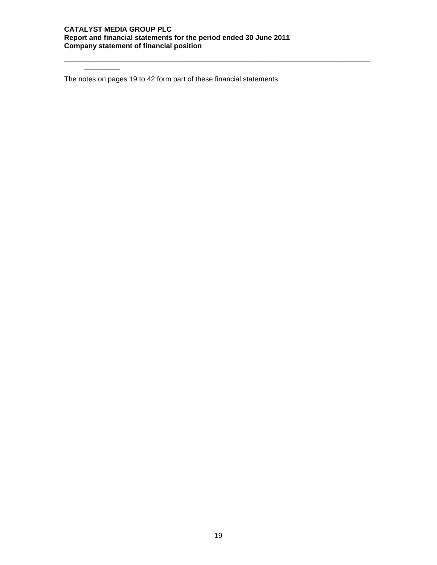#### **CATALYST MEDIA GROUP PLC Report and financial statements for the period ended 30 June 2011 Company statement of financial position**

**\_\_\_\_\_\_\_\_\_\_\_\_\_\_\_\_\_\_\_\_\_\_\_\_\_\_\_\_\_\_\_\_\_\_\_\_\_\_\_\_\_\_\_\_\_\_\_\_\_\_\_\_\_\_\_\_\_\_\_\_\_\_\_\_\_\_\_\_\_\_\_\_\_\_\_\_\_**

The notes on pages 19 to 42 form part of these financial statements

**\_\_\_\_\_\_\_\_\_**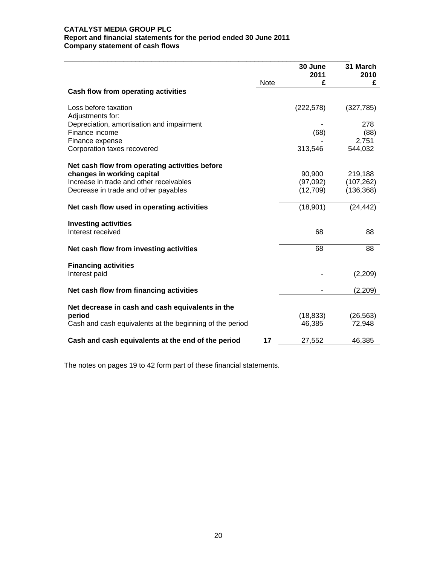#### **CATALYST MEDIA GROUP PLC Report and financial statements for the period ended 30 June 2011 Company statement of cash flows**

|                                                          |      | 30 June<br>2011 | 31 March<br>2010 |
|----------------------------------------------------------|------|-----------------|------------------|
|                                                          | Note | £               | £                |
| Cash flow from operating activities                      |      |                 |                  |
| Loss before taxation                                     |      | (222, 578)      | (327, 785)       |
| Adjustments for:                                         |      |                 |                  |
| Depreciation, amortisation and impairment                |      |                 | 278              |
| Finance income                                           |      | (68)            | (88)             |
| Finance expense                                          |      |                 | 2,751<br>544,032 |
| Corporation taxes recovered                              |      | 313,546         |                  |
| Net cash flow from operating activities before           |      |                 |                  |
| changes in working capital                               |      | 90,900          | 219,188          |
| Increase in trade and other receivables                  |      | (97,092)        | (107, 262)       |
| Decrease in trade and other payables                     |      | (12, 709)       | (136, 368)       |
|                                                          |      |                 |                  |
| Net cash flow used in operating activities               |      | (18, 901)       | (24, 442)        |
| <b>Investing activities</b>                              |      |                 |                  |
| Interest received                                        |      | 68              | 88               |
|                                                          |      |                 |                  |
| Net cash flow from investing activities                  |      | 68              | 88               |
|                                                          |      |                 |                  |
| <b>Financing activities</b>                              |      |                 |                  |
| Interest paid                                            |      |                 | (2,209)          |
| Net cash flow from financing activities                  |      |                 | (2,209)          |
|                                                          |      |                 |                  |
| Net decrease in cash and cash equivalents in the         |      |                 |                  |
| period                                                   |      | (18, 833)       | (26, 563)        |
| Cash and cash equivalents at the beginning of the period |      | 46,385          | 72,948           |
| Cash and cash equivalents at the end of the period       | 17   | 27,552          | 46,385           |
|                                                          |      |                 |                  |

The notes on pages 19 to 42 form part of these financial statements.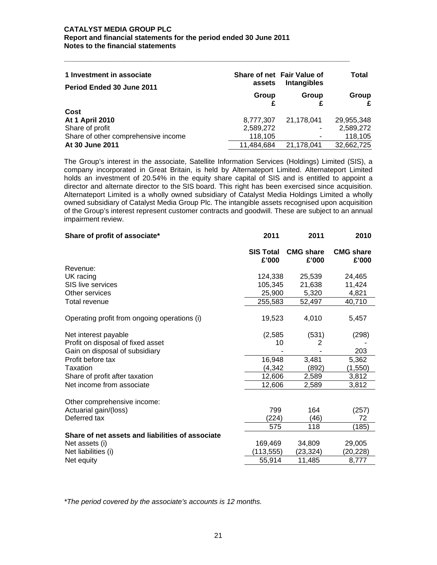| 1 Investment in associate<br>Period Ended 30 June 2011 | assets<br>Group | Share of net Fair Value of<br><b>Intangibles</b><br>Group | Total<br>Group |
|--------------------------------------------------------|-----------------|-----------------------------------------------------------|----------------|
| Cost                                                   |                 |                                                           | £              |
| <b>At 1 April 2010</b>                                 | 8,777,307       | 21.178.041                                                | 29,955,348     |
| Share of profit                                        | 2,589,272       |                                                           | 2,589,272      |
| Share of other comprehensive income                    | 118,105         | ۰                                                         | 118,105        |
| At 30 June 2011                                        | 11,484,684      | 21,178,041                                                | 32,662,725     |

**\_\_\_\_\_\_\_\_\_\_\_\_\_\_\_\_\_\_\_\_\_\_\_\_\_\_\_\_\_\_\_\_\_\_\_\_\_\_\_\_\_\_\_\_\_\_\_\_\_\_\_\_\_\_\_\_\_\_\_\_\_\_\_\_\_\_\_\_\_\_\_\_** 

The Group's interest in the associate, Satellite Information Services (Holdings) Limited (SIS), a company incorporated in Great Britain, is held by Alternateport Limited. Alternateport Limited holds an investment of 20.54% in the equity share capital of SIS and is entitled to appoint a director and alternate director to the SIS board. This right has been exercised since acquisition. Alternateport Limited is a wholly owned subsidiary of Catalyst Media Holdings Limited a wholly owned subsidiary of Catalyst Media Group Plc. The intangible assets recognised upon acquisition of the Group's interest represent customer contracts and goodwill. These are subject to an annual impairment review.

| 2011                      | 2011                      | 2010                                          |
|---------------------------|---------------------------|-----------------------------------------------|
| <b>SIS Total</b><br>£'000 | <b>CMG share</b><br>£'000 | <b>CMG share</b><br>£'000                     |
|                           |                           |                                               |
| 124,338                   | 25,539                    | 24,465                                        |
| 105,345                   | 21,638                    | 11,424                                        |
|                           | 5,320                     | 4,821                                         |
| 255,583                   | 52,497                    | 40,710                                        |
| 19,523                    | 4,010                     | 5,457                                         |
|                           | (531)                     | (298)                                         |
| 10                        | 2                         |                                               |
|                           |                           | 203                                           |
| 16,948                    | 3,481                     | 5,362                                         |
|                           | (892)                     | (1,550)                                       |
| 12,606                    | 2,589                     | 3,812                                         |
| 12,606                    | 2,589                     | 3,812                                         |
|                           |                           |                                               |
| 799                       |                           | (257)                                         |
| 224)                      |                           | 72                                            |
| 575                       | 118                       | (185)                                         |
|                           |                           |                                               |
| 169,469                   | 34,809                    | 29,005                                        |
| (113, 555)                | (23,324)                  | (20,228)                                      |
| 55,914                    | 11,485                    | 8,777                                         |
|                           |                           | 25,900<br>(2, 585)<br>(4, 342)<br>164<br>(46) |

*\*The period covered by the associate's accounts is 12 months.*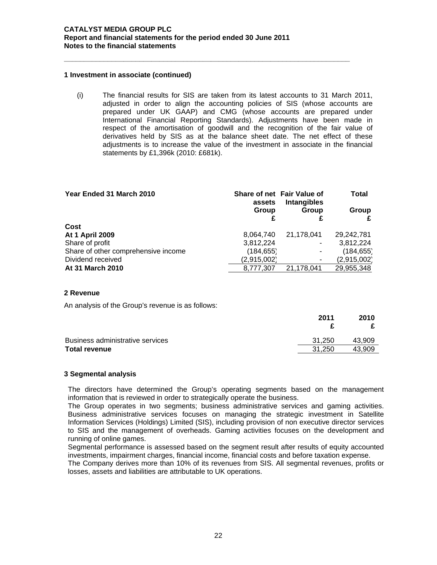#### **1 Investment in associate (continued)**

(i) The financial results for SIS are taken from its latest accounts to 31 March 2011, adjusted in order to align the accounting policies of SIS (whose accounts are prepared under UK GAAP) and CMG (whose accounts are prepared under International Financial Reporting Standards). Adjustments have been made in respect of the amortisation of goodwill and the recognition of the fair value of derivatives held by SIS as at the balance sheet date. The net effect of these adjustments is to increase the value of the investment in associate in the financial statements by £1,396k (2010: £681k).

**\_\_\_\_\_\_\_\_\_\_\_\_\_\_\_\_\_\_\_\_\_\_\_\_\_\_\_\_\_\_\_\_\_\_\_\_\_\_\_\_\_\_\_\_\_\_\_\_\_\_\_\_\_\_\_\_\_\_\_\_\_\_\_\_\_\_\_\_\_\_\_\_** 

| Year Ended 31 March 2010            | assets      | Share of net Fair Value of<br>Intangibles | <b>Total</b> |
|-------------------------------------|-------------|-------------------------------------------|--------------|
|                                     | Group       | Group                                     | Group        |
| Cost                                |             |                                           |              |
| <b>At 1 April 2009</b>              | 8,064,740   | 21,178,041                                | 29,242,781   |
| Share of profit                     | 3,812,224   |                                           | 3,812,224    |
| Share of other comprehensive income | (184, 655)  |                                           | (184, 655)   |
| Dividend received                   | (2,915,002) |                                           | (2,915,002)  |
| At 31 March 2010                    | 8,777,307   | 21,178,041                                | 29,955,348   |

#### **2 Revenue**

An analysis of the Group's revenue is as follows:

|                                  | 2011   | 2010   |
|----------------------------------|--------|--------|
|                                  |        |        |
| Business administrative services | 31.250 | 43.909 |
| <b>Total revenue</b>             | 31.250 | 43.909 |

#### **3 Segmental analysis**

The directors have determined the Group's operating segments based on the management information that is reviewed in order to strategically operate the business.

The Group operates in two segments; business administrative services and gaming activities. Business administrative services focuses on managing the strategic investment in Satellite Information Services (Holdings) Limited (SIS), including provision of non executive director services to SIS and the management of overheads. Gaming activities focuses on the development and running of online games.

Segmental performance is assessed based on the segment result after results of equity accounted investments, impairment charges, financial income, financial costs and before taxation expense.

The Company derives more than 10% of its revenues from SIS. All segmental revenues, profits or losses, assets and liabilities are attributable to UK operations.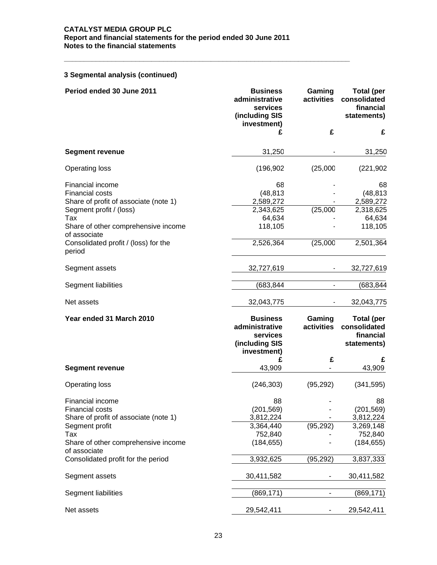**\_\_\_\_\_\_\_\_\_\_\_\_\_\_\_\_\_\_\_\_\_\_\_\_\_\_\_\_\_\_\_\_\_\_\_\_\_\_\_\_\_\_\_\_\_\_\_\_\_\_\_\_\_\_\_\_\_\_\_\_\_\_\_\_\_\_\_\_\_\_\_\_** 

# **3 Segmental analysis (continued)**

| Period ended 30 June 2011                                                                                      | <b>Business</b><br>administrative<br>services<br>(including SIS<br>investment) | Gaming<br>activities     | <b>Total (per</b><br>consolidated<br>financial<br>statements) |
|----------------------------------------------------------------------------------------------------------------|--------------------------------------------------------------------------------|--------------------------|---------------------------------------------------------------|
|                                                                                                                | £                                                                              | £                        | £                                                             |
| <b>Segment revenue</b>                                                                                         | 31,250                                                                         |                          | 31,250                                                        |
| <b>Operating loss</b>                                                                                          | (196, 902)                                                                     | (25,000)                 | (221, 902)                                                    |
| Financial income<br><b>Financial costs</b><br>Share of profit of associate (note 1)<br>Segment profit / (loss) | 68<br>(48, 813)<br>2,589,272<br>2,343,625                                      | (25,000)                 | 68<br>(48, 813)<br>2,589,272<br>2,318,625                     |
| Tax<br>Share of other comprehensive income<br>of associate                                                     | 64,634<br>118,105                                                              |                          | 64,634<br>118,105                                             |
| Consolidated profit / (loss) for the<br>period                                                                 | 2,526,364                                                                      | (25,000)                 | 2,501,364                                                     |
| Segment assets                                                                                                 | 32,727,619                                                                     |                          | 32,727,619                                                    |
| Segment liabilities                                                                                            | (683,844                                                                       |                          | (683,844                                                      |
| Net assets                                                                                                     | 32,043,775                                                                     |                          | 32,043,775                                                    |
| Year ended 31 March 2010                                                                                       | <b>Business</b><br>administrative<br>services<br>(including SIS<br>investment) | Gaming<br>activities     | <b>Total (per</b><br>consolidated<br>financial<br>statements) |
| <b>Segment revenue</b>                                                                                         | £<br>43,909                                                                    | £                        | £<br>43,909                                                   |
| <b>Operating loss</b>                                                                                          | (246, 303)                                                                     | (95, 292)                | (341, 595)                                                    |
| Financial income<br><b>Financial costs</b><br>Share of profit of associate (note 1)<br>Segment profit<br>Tax   | 88<br>(201, 569)<br>3,812,224<br>3,364,440<br>752,840                          | (95, 292)                | 88<br>(201, 569)<br>3,812,224<br>3,269,148<br>752,840         |
| Share of other comprehensive income<br>of associate                                                            | (184, 655)                                                                     |                          | (184, 655)                                                    |
| Consolidated profit for the period                                                                             | 3,932,625                                                                      | (95,292)                 | 3,837,333                                                     |
| Segment assets                                                                                                 | 30,411,582                                                                     |                          | 30,411,582                                                    |
| Segment liabilities                                                                                            | (869, 171)                                                                     | $\overline{\phantom{0}}$ | (869, 171)                                                    |
| Net assets                                                                                                     | 29,542,411                                                                     |                          | 29,542,411                                                    |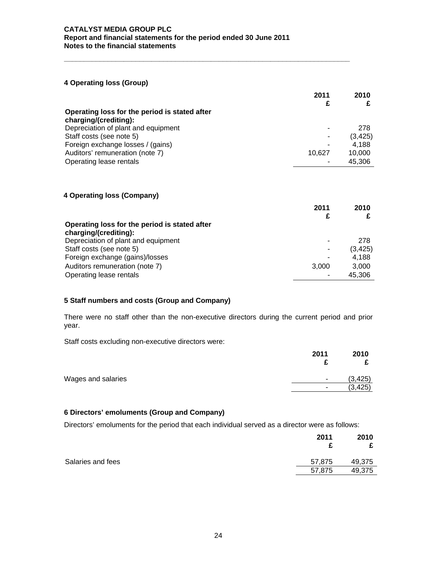# **4 Operating loss (Group)**

|                                               | 2011   | 2010     |
|-----------------------------------------------|--------|----------|
| Operating loss for the period is stated after |        |          |
| charging/(crediting):                         |        |          |
| Depreciation of plant and equipment           |        | 278      |
| Staff costs (see note 5)                      |        | (3, 425) |
| Foreign exchange losses / (gains)             |        | 4,188    |
| Auditors' remuneration (note 7)               | 10.627 | 10,000   |
| Operating lease rentals                       |        | 45,306   |

**\_\_\_\_\_\_\_\_\_\_\_\_\_\_\_\_\_\_\_\_\_\_\_\_\_\_\_\_\_\_\_\_\_\_\_\_\_\_\_\_\_\_\_\_\_\_\_\_\_\_\_\_\_\_\_\_\_\_\_\_\_\_\_\_\_\_\_\_\_\_\_\_** 

# **4 Operating loss (Company)**

|                                               | 2011  | 2010     |
|-----------------------------------------------|-------|----------|
| Operating loss for the period is stated after |       |          |
| charging/(crediting):                         |       |          |
| Depreciation of plant and equipment           |       | 278      |
| Staff costs (see note 5)                      | ٠     | (3, 425) |
| Foreign exchange (gains)/losses               |       | 4,188    |
| Auditors remuneration (note 7)                | 3.000 | 3,000    |
| Operating lease rentals                       |       | 45,306   |

# **5 Staff numbers and costs (Group and Company)**

There were no staff other than the non-executive directors during the current period and prior year.

Staff costs excluding non-executive directors were:

|                    | 2011 | 2010     |
|--------------------|------|----------|
| Wages and salaries | ٠    | (3, 425) |
|                    | ۰    | (3, 425) |

# **6 Directors' emoluments (Group and Company)**

Directors' emoluments for the period that each individual served as a director were as follows:

|                   | 2011   | 2010   |
|-------------------|--------|--------|
| Salaries and fees | 57,875 | 49,375 |
|                   | 57,875 | 49,375 |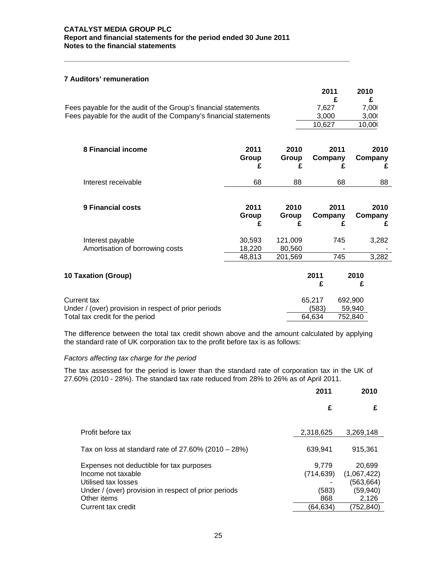**\_\_\_\_\_\_\_\_\_\_\_\_\_\_\_\_\_\_\_\_\_\_\_\_\_\_\_\_\_\_\_\_\_\_\_\_\_\_\_\_\_\_\_\_\_\_\_\_\_\_\_\_\_\_\_\_\_\_\_\_\_\_\_\_\_\_\_\_\_\_\_\_** 

# **7 Auditors' remuneration**

|                                                                                                        |                    |                    | 2011<br>£                 |                              | 2010<br>£            |
|--------------------------------------------------------------------------------------------------------|--------------------|--------------------|---------------------------|------------------------------|----------------------|
| Fees payable for the audit of the Group's financial statements                                         |                    |                    | 7,627                     |                              | 7,00                 |
| Fees payable for the audit of the Company's financial statements                                       |                    |                    | 3,000                     |                              | 3,000                |
|                                                                                                        |                    |                    | 10,627                    |                              | 10,00                |
| 8 Financial income                                                                                     | 2011<br>Group<br>£ | 2010<br>Group<br>£ | Company                   | 2011<br>£                    | 2010<br>Company<br>£ |
| Interest receivable                                                                                    | 68                 | 88                 |                           | 68                           | 88                   |
| 9 Financial costs                                                                                      | 2011<br>Group<br>£ | 2010<br>Group<br>£ | Company                   | 2011<br>£                    | 2010<br>Company<br>£ |
| Interest payable                                                                                       | 30,593             | 121,009            |                           | 745                          | 3,282                |
| Amortisation of borrowing costs                                                                        | 18,220             | 80,560             |                           |                              |                      |
|                                                                                                        | 48,813             | 201,569            |                           | 745                          | 3,282                |
| 10 Taxation (Group)                                                                                    |                    |                    | 2011<br>£                 | 2010<br>£                    |                      |
| Current tax<br>Under / (over) provision in respect of prior periods<br>Total tax credit for the period |                    |                    | 65,217<br>(583)<br>64,634 | 692,900<br>59,940<br>752,840 |                      |

The difference between the total tax credit shown above and the amount calculated by applying the standard rate of UK corporation tax to the profit before tax is as follows:

#### *Factors affecting tax charge for the period*

The tax assessed for the period is lower than the standard rate of corporation tax in the UK of 27.60% (2010 - 28%). The standard tax rate reduced from 28% to 26% as of April 2011.

|                                                                                                                                                              | 2011                                | 2010                                                      |
|--------------------------------------------------------------------------------------------------------------------------------------------------------------|-------------------------------------|-----------------------------------------------------------|
|                                                                                                                                                              | £                                   | £                                                         |
| Profit before tax                                                                                                                                            | 2,318,625                           | 3.269.148                                                 |
| Tax on loss at standard rate of 27.60% (2010 – 28%)                                                                                                          | 639,941                             | 915.361                                                   |
| Expenses not deductible for tax purposes<br>Income not taxable<br>Utilised tax losses<br>Under / (over) provision in respect of prior periods<br>Other items | 9.779<br>(714, 639)<br>(583)<br>868 | 20,699<br>(1,067,422)<br>(563, 664)<br>(59, 940)<br>2,126 |
| Current tax credit                                                                                                                                           | (64.634)                            | (752,840)                                                 |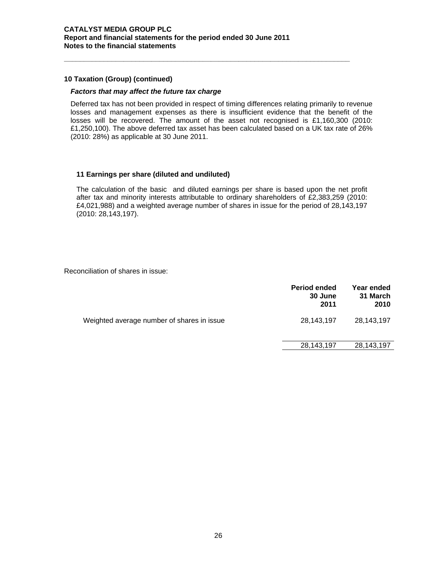### **10 Taxation (Group) (continued)**

#### *Factors that may affect the future tax charge*

Deferred tax has not been provided in respect of timing differences relating primarily to revenue losses and management expenses as there is insufficient evidence that the benefit of the losses will be recovered. The amount of the asset not recognised is £1,160,300 (2010: £1,250,100). The above deferred tax asset has been calculated based on a UK tax rate of 26% (2010: 28%) as applicable at 30 June 2011.

**\_\_\_\_\_\_\_\_\_\_\_\_\_\_\_\_\_\_\_\_\_\_\_\_\_\_\_\_\_\_\_\_\_\_\_\_\_\_\_\_\_\_\_\_\_\_\_\_\_\_\_\_\_\_\_\_\_\_\_\_\_\_\_\_\_\_\_\_\_\_\_\_** 

#### **11 Earnings per share (diluted and undiluted)**

The calculation of the basic and diluted earnings per share is based upon the net profit after tax and minority interests attributable to ordinary shareholders of £2,383,259 (2010: £4,021,988) and a weighted average number of shares in issue for the period of 28,143,197 (2010: 28,143,197).

Reconciliation of shares in issue:

|                                            | <b>Period ended</b><br>30 June<br>2011 | Year ended<br>31 March<br>2010 |
|--------------------------------------------|----------------------------------------|--------------------------------|
| Weighted average number of shares in issue | 28,143,197                             | 28,143,197                     |
|                                            | 28,143,197                             | 28, 143, 197                   |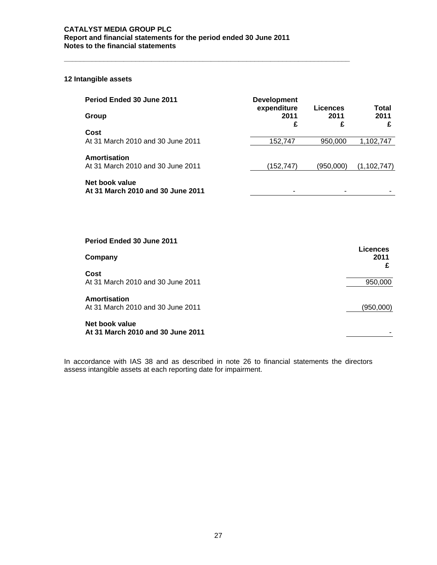**\_\_\_\_\_\_\_\_\_\_\_\_\_\_\_\_\_\_\_\_\_\_\_\_\_\_\_\_\_\_\_\_\_\_\_\_\_\_\_\_\_\_\_\_\_\_\_\_\_\_\_\_\_\_\_\_\_\_\_\_\_\_\_\_\_\_\_\_\_\_\_\_** 

# **12 Intangible assets**

| Period Ended 30 June 2011                           | <b>Development</b><br>expenditure | Licences  | Total         |
|-----------------------------------------------------|-----------------------------------|-----------|---------------|
| Group                                               | 2011<br>£                         | 2011<br>£ | 2011<br>£     |
| Cost                                                |                                   |           |               |
| At 31 March 2010 and 30 June 2011                   | 152,747                           | 950,000   | 1,102,747     |
| Amortisation                                        |                                   |           |               |
| At 31 March 2010 and 30 June 2011                   | (152,747)                         | (950,000) | (1, 102, 747) |
| Net book value<br>At 31 March 2010 and 30 June 2011 |                                   |           |               |

| Period Ended 30 June 2011                           |                  |
|-----------------------------------------------------|------------------|
| Company                                             | Licences<br>2011 |
| Cost<br>At 31 March 2010 and 30 June 2011           | 950,000          |
| Amortisation<br>At 31 March 2010 and 30 June 2011   | (950,000)        |
| Net book value<br>At 31 March 2010 and 30 June 2011 |                  |

In accordance with IAS 38 and as described in note 26 to financial statements the directors assess intangible assets at each reporting date for impairment.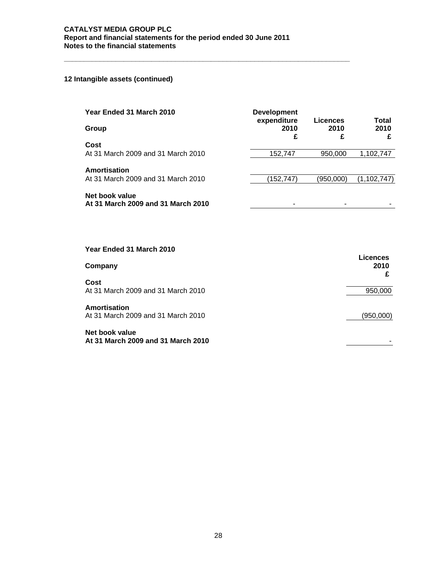**\_\_\_\_\_\_\_\_\_\_\_\_\_\_\_\_\_\_\_\_\_\_\_\_\_\_\_\_\_\_\_\_\_\_\_\_\_\_\_\_\_\_\_\_\_\_\_\_\_\_\_\_\_\_\_\_\_\_\_\_\_\_\_\_\_\_\_\_\_\_\_\_** 

# **12 Intangible assets (continued)**

| Year Ended 31 March 2010                                  | <b>Development</b><br>expenditure | Licences  | <b>Total</b>                 |
|-----------------------------------------------------------|-----------------------------------|-----------|------------------------------|
| Group                                                     | 2010<br>£                         | 2010<br>£ | 2010<br>£                    |
| Cost<br>At 31 March 2009 and 31 March 2010                | 152,747                           | 950,000   | 1,102,747                    |
| <b>Amortisation</b><br>At 31 March 2009 and 31 March 2010 | (152, 747)                        | (950,000) | (1, 102, 747)                |
| Net book value                                            |                                   |           |                              |
| At 31 March 2009 and 31 March 2010                        | ۰                                 | ۰         |                              |
|                                                           |                                   |           |                              |
| Year Ended 31 March 2010                                  |                                   |           |                              |
| Company                                                   |                                   |           | <b>Licences</b><br>2010<br>£ |
| Cost<br>At 31 March 2009 and 31 March 2010                |                                   |           | 950,000                      |
| <b>Amortisation</b><br>At 31 March 2009 and 31 March 2010 |                                   |           | (950,000)                    |
| Net book value<br>At 31 March 2009 and 31 March 2010      |                                   |           |                              |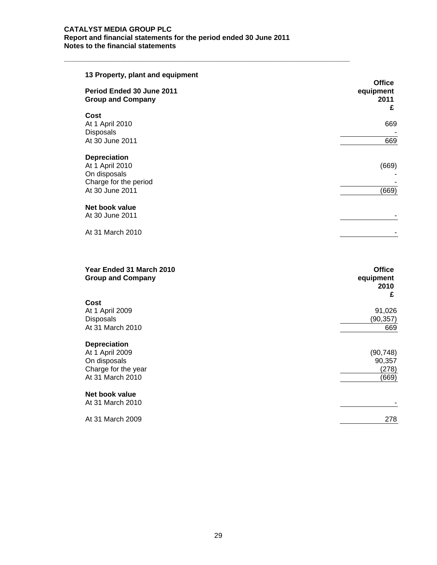| 13 Property, plant and equipment                                                                   | <b>Office</b>          |
|----------------------------------------------------------------------------------------------------|------------------------|
| Period Ended 30 June 2011<br><b>Group and Company</b>                                              | equipment<br>2011<br>£ |
| Cost<br>At 1 April 2010<br>Disposals                                                               | 669                    |
| At 30 June 2011                                                                                    | 669                    |
| <b>Depreciation</b><br>At 1 April 2010<br>On disposals<br>Charge for the period<br>At 30 June 2011 | (669)<br>(669)         |
| Net book value<br>At 30 June 2011                                                                  |                        |
| At 31 March 2010                                                                                   |                        |
|                                                                                                    |                        |
|                                                                                                    |                        |

| Year Ended 31 March 2010<br><b>Group and Company</b> | <b>Office</b><br>equipment<br>2010<br>£ |
|------------------------------------------------------|-----------------------------------------|
| Cost                                                 |                                         |
| At 1 April 2009                                      | 91,026                                  |
| <b>Disposals</b>                                     | (90,357)                                |
| At 31 March 2010                                     | 669                                     |
| <b>Depreciation</b>                                  |                                         |
| At 1 April 2009                                      | (90, 748)                               |
| On disposals                                         | 90,357                                  |
| Charge for the year                                  | (278)                                   |
| At 31 March 2010                                     | (669)                                   |
| Net book value                                       |                                         |
| At 31 March 2010                                     |                                         |
| At 31 March 2009                                     | 278                                     |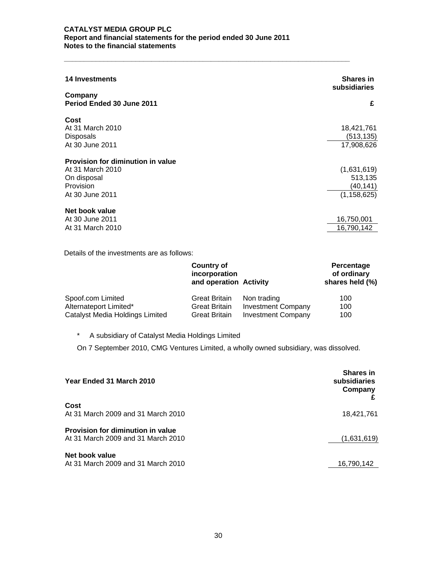| <b>14 Investments</b><br>Company<br>Period Ended 30 June 2011   | <b>Shares in</b><br>subsidiaries<br>£               |
|-----------------------------------------------------------------|-----------------------------------------------------|
|                                                                 |                                                     |
| Cost<br>At 31 March 2010<br><b>Disposals</b><br>At 30 June 2011 | 18,421,761<br>(513, 135)<br>17,908,626              |
| Provision for diminution in value                               |                                                     |
| At 31 March 2010<br>On disposal<br>Provision<br>At 30 June 2011 | (1,631,619)<br>513,135<br>(40,141)<br>(1, 158, 625) |
| Net book value<br>At 30 June 2011<br>At 31 March 2010           | 16,750,001<br>16,790,142                            |

**\_\_\_\_\_\_\_\_\_\_\_\_\_\_\_\_\_\_\_\_\_\_\_\_\_\_\_\_\_\_\_\_\_\_\_\_\_\_\_\_\_\_\_\_\_\_\_\_\_\_\_\_\_\_\_\_\_\_\_\_\_\_\_\_\_\_\_\_\_\_\_\_** 

Details of the investments are as follows:

|                                 | <b>Country of</b><br>incorporation<br>and operation Activity |                           | Percentage<br>of ordinary<br>shares held (%) |
|---------------------------------|--------------------------------------------------------------|---------------------------|----------------------------------------------|
| Spoof.com Limited               | <b>Great Britain</b>                                         | Non trading               | 100                                          |
| Alternateport Limited*          | <b>Great Britain</b>                                         | <b>Investment Company</b> | 100                                          |
| Catalyst Media Holdings Limited | <b>Great Britain</b>                                         | <b>Investment Company</b> | 100                                          |

\* A subsidiary of Catalyst Media Holdings Limited

On 7 September 2010, CMG Ventures Limited, a wholly owned subsidiary, was dissolved.

| Year Ended 31 March 2010                                                | <b>Shares in</b><br>subsidiaries<br>Company |
|-------------------------------------------------------------------------|---------------------------------------------|
| Cost<br>At 31 March 2009 and 31 March 2010                              | 18,421,761                                  |
| Provision for diminution in value<br>At 31 March 2009 and 31 March 2010 | (1,631,619)                                 |
| Net book value<br>At 31 March 2009 and 31 March 2010                    | 16,790,142                                  |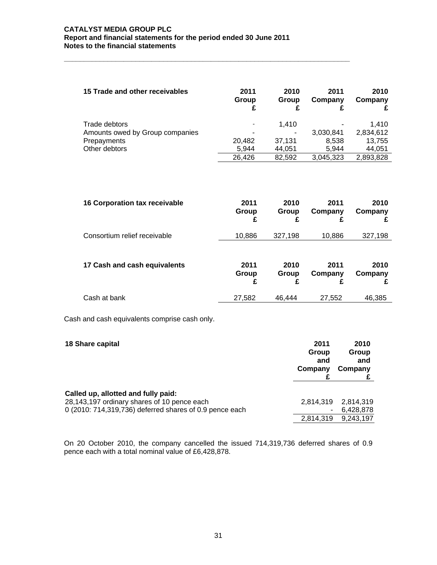**\_\_\_\_\_\_\_\_\_\_\_\_\_\_\_\_\_\_\_\_\_\_\_\_\_\_\_\_\_\_\_\_\_\_\_\_\_\_\_\_\_\_\_\_\_\_\_\_\_\_\_\_\_\_\_\_\_\_\_\_\_\_\_\_\_\_\_\_\_\_\_\_** 

| 15 Trade and other receivables  | 2011<br>Group | 2010<br>Group | 2011<br>Company | 2010<br>Company |
|---------------------------------|---------------|---------------|-----------------|-----------------|
| Trade debtors                   |               | 1.410         |                 | 1.410           |
| Amounts owed by Group companies |               |               | 3,030,841       | 2,834,612       |
| Prepayments                     | 20,482        | 37.131        | 8,538           | 13,755          |
| Other debtors                   | 5.944         | 44.051        | 5.944           | 44,051          |
|                                 | 26,426        | 82.592        | 3,045,323       | 2,893,828       |

| <b>16 Corporation tax receivable</b> | 2011<br>Group<br>£ | 2010<br>Group<br>£ | 2011<br>Company<br>£ | 2010<br>Company |
|--------------------------------------|--------------------|--------------------|----------------------|-----------------|
| Consortium relief receivable         | 10,886             | 327,198            | 10,886               | 327,198         |
| 17 Cash and cash equivalents         | 2011<br>Group<br>£ | 2010<br>Group<br>£ | 2011<br>Company<br>£ | 2010<br>Company |
| Cash at bank                         | 27,582             | 46,444             | 27,552               | 46,385          |

Cash and cash equivalents comprise cash only.

| 18 Share capital                                                                                                                              | 2011<br>Group<br>and<br>Company | 2010<br>Group<br>and<br>Company |
|-----------------------------------------------------------------------------------------------------------------------------------------------|---------------------------------|---------------------------------|
| Called up, allotted and fully paid:<br>28,143,197 ordinary shares of 10 pence each<br>0 (2010: 714,319,736) deferred shares of 0.9 pence each | 2,814,319                       | 2.814.319<br>6,428,878          |
|                                                                                                                                               | 2,814,319                       | 9,243,197                       |

On 20 October 2010, the company cancelled the issued 714,319,736 deferred shares of 0.9 pence each with a total nominal value of £6,428,878.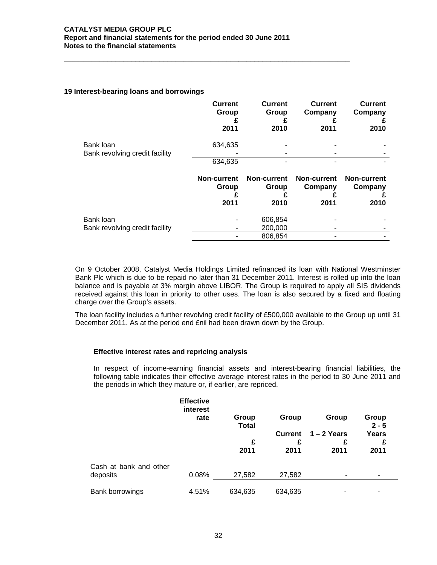**\_\_\_\_\_\_\_\_\_\_\_\_\_\_\_\_\_\_\_\_\_\_\_\_\_\_\_\_\_\_\_\_\_\_\_\_\_\_\_\_\_\_\_\_\_\_\_\_\_\_\_\_\_\_\_\_\_\_\_\_\_\_\_\_\_\_\_\_\_\_\_\_** 

### **19 Interest-bearing loans and borrowings**

|                                             | <b>Current</b><br>Group | <b>Current</b><br>Group     | <b>Current</b><br>Company     | <b>Current</b><br>Company     |
|---------------------------------------------|-------------------------|-----------------------------|-------------------------------|-------------------------------|
|                                             | 2011                    | 2010                        | 2011                          | 2010                          |
| Bank loan<br>Bank revolving credit facility | 634,635                 |                             |                               |                               |
|                                             | 634,635                 |                             |                               |                               |
|                                             |                         |                             |                               |                               |
|                                             |                         |                             |                               |                               |
|                                             | Non-current<br>Group    | <b>Non-current</b><br>Group | <b>Non-current</b><br>Company | <b>Non-current</b><br>Company |
|                                             | 2011                    | 2010                        | 2011                          | 2010                          |
| Bank loan<br>Bank revolving credit facility |                         | 606,854<br>200,000          |                               |                               |

On 9 October 2008, Catalyst Media Holdings Limited refinanced its loan with National Westminster Bank Plc which is due to be repaid no later than 31 December 2011. Interest is rolled up into the loan balance and is payable at 3% margin above LIBOR. The Group is required to apply all SIS dividends received against this loan in priority to other uses. The loan is also secured by a fixed and floating charge over the Group's assets.

The loan facility includes a further revolving credit facility of £500,000 available to the Group up until 31 December 2011. As at the period end £nil had been drawn down by the Group.

# **Effective interest rates and repricing analysis**

In respect of income-earning financial assets and interest-bearing financial liabilities, the following table indicates their effective average interest rates in the period to 30 June 2011 and the periods in which they mature or, if earlier, are repriced.

|                                    | <b>Effective</b><br>interest<br>rate | Group<br><b>Total</b><br>£<br>2011 | Group<br><b>Current</b><br>£<br>2011 | Group<br>$1 - 2$ Years<br>£<br>2011 | Group<br>$2 - 5$<br>Years<br>£<br>2011 |
|------------------------------------|--------------------------------------|------------------------------------|--------------------------------------|-------------------------------------|----------------------------------------|
| Cash at bank and other<br>deposits | 0.08%                                | 27,582                             | 27,582                               | ۰                                   |                                        |
| Bank borrowings                    | 4.51%                                | 634,635                            | 634,635                              |                                     |                                        |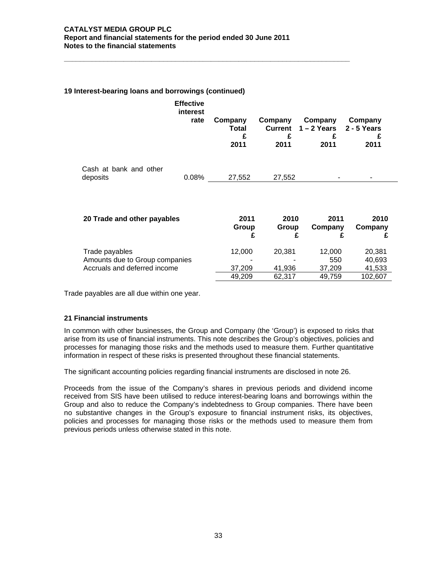**\_\_\_\_\_\_\_\_\_\_\_\_\_\_\_\_\_\_\_\_\_\_\_\_\_\_\_\_\_\_\_\_\_\_\_\_\_\_\_\_\_\_\_\_\_\_\_\_\_\_\_\_\_\_\_\_\_\_\_\_\_\_\_\_\_\_\_\_\_\_\_\_** 

# **19 Interest-bearing loans and borrowings (continued)**

|                                    | <b>Effective</b><br>interest<br>rate | Company<br><b>Total</b><br>£<br>2011 | Company<br>2011 | Company<br>Current 1-2 Years 2-5 Years<br>2011 | Company<br>£<br>2011 |
|------------------------------------|--------------------------------------|--------------------------------------|-----------------|------------------------------------------------|----------------------|
| Cash at bank and other<br>deposits | 0.08%                                | 27,552                               | 27,552          | -                                              | ۰                    |
|                                    |                                      |                                      |                 |                                                |                      |

| 20 Trade and other payables    | 2011<br>Group | 2010<br>Group | 2011<br>Company | 2010<br>Company |
|--------------------------------|---------------|---------------|-----------------|-----------------|
| Trade payables                 | 12.000        | 20.381        | 12,000          | 20,381          |
| Amounts due to Group companies | -             |               | 550             | 40,693          |
| Accruals and deferred income   | 37.209        | 41.936        | 37.209          | 41,533          |
|                                | 49.209        | 62.317        | 49,759          | 102,607         |

Trade payables are all due within one year.

#### **21 Financial instruments**

In common with other businesses, the Group and Company (the 'Group') is exposed to risks that arise from its use of financial instruments. This note describes the Group's objectives, policies and processes for managing those risks and the methods used to measure them. Further quantitative information in respect of these risks is presented throughout these financial statements.

The significant accounting policies regarding financial instruments are disclosed in note 26.

Proceeds from the issue of the Company's shares in previous periods and dividend income received from SIS have been utilised to reduce interest-bearing loans and borrowings within the Group and also to reduce the Company's indebtedness to Group companies. There have been no substantive changes in the Group's exposure to financial instrument risks, its objectives, policies and processes for managing those risks or the methods used to measure them from previous periods unless otherwise stated in this note.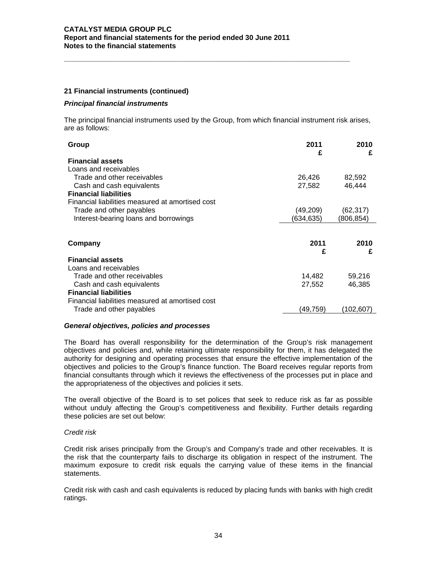### **21 Financial instruments (continued)**

#### *Principal financial instruments*

The principal financial instruments used by the Group, from which financial instrument risk arises, are as follows:

**\_\_\_\_\_\_\_\_\_\_\_\_\_\_\_\_\_\_\_\_\_\_\_\_\_\_\_\_\_\_\_\_\_\_\_\_\_\_\_\_\_\_\_\_\_\_\_\_\_\_\_\_\_\_\_\_\_\_\_\_\_\_\_\_\_\_\_\_\_\_\_\_** 

| Group                                            | 2011      | 2010      |
|--------------------------------------------------|-----------|-----------|
|                                                  | £         | £         |
| <b>Financial assets</b>                          |           |           |
| Loans and receivables                            |           |           |
| Trade and other receivables                      | 26,426    | 82,592    |
| Cash and cash equivalents                        | 27,582    | 46,444    |
| <b>Financial liabilities</b>                     |           |           |
| Financial liabilities measured at amortised cost |           |           |
| Trade and other payables                         | (49,209)  | (62, 317) |
| Interest-bearing loans and borrowings            | (634,635) | (806,854) |
|                                                  |           |           |
| Company                                          | 2011      | 2010      |
|                                                  | £         | £         |
| <b>Financial assets</b>                          |           |           |
| Loans and receivables                            |           |           |
| Trade and other receivables                      | 14,482    | 59,216    |
| Cash and cash equivalents                        | 27,552    | 46,385    |
| <b>Financial liabilities</b>                     |           |           |
| Financial liabilities measured at amortised cost |           |           |
| Trade and other payables                         | (49,759)  | (102.607  |

#### *General objectives, policies and processes*

The Board has overall responsibility for the determination of the Group's risk management objectives and policies and, while retaining ultimate responsibility for them, it has delegated the authority for designing and operating processes that ensure the effective implementation of the objectives and policies to the Group's finance function. The Board receives regular reports from financial consultants through which it reviews the effectiveness of the processes put in place and the appropriateness of the objectives and policies it sets.

The overall objective of the Board is to set polices that seek to reduce risk as far as possible without unduly affecting the Group's competitiveness and flexibility. Further details regarding these policies are set out below:

#### *Credit risk*

Credit risk arises principally from the Group's and Company's trade and other receivables. It is the risk that the counterparty fails to discharge its obligation in respect of the instrument. The maximum exposure to credit risk equals the carrying value of these items in the financial statements.

Credit risk with cash and cash equivalents is reduced by placing funds with banks with high credit ratings.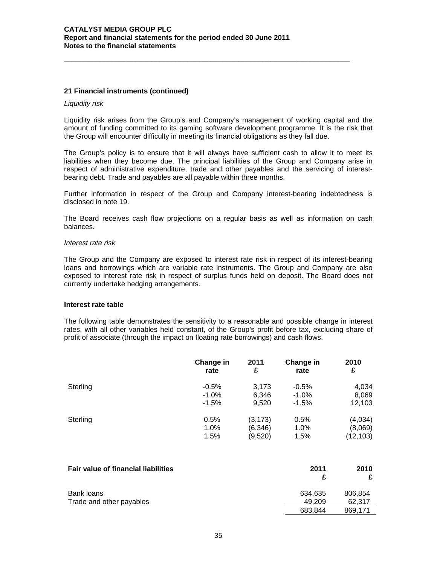#### **21 Financial instruments (continued)**

#### *Liquidity risk*

Liquidity risk arises from the Group's and Company's management of working capital and the amount of funding committed to its gaming software development programme. It is the risk that the Group will encounter difficulty in meeting its financial obligations as they fall due.

**\_\_\_\_\_\_\_\_\_\_\_\_\_\_\_\_\_\_\_\_\_\_\_\_\_\_\_\_\_\_\_\_\_\_\_\_\_\_\_\_\_\_\_\_\_\_\_\_\_\_\_\_\_\_\_\_\_\_\_\_\_\_\_\_\_\_\_\_\_\_\_\_** 

The Group's policy is to ensure that it will always have sufficient cash to allow it to meet its liabilities when they become due. The principal liabilities of the Group and Company arise in respect of administrative expenditure, trade and other payables and the servicing of interestbearing debt. Trade and payables are all payable within three months.

Further information in respect of the Group and Company interest-bearing indebtedness is disclosed in note 19.

The Board receives cash flow projections on a regular basis as well as information on cash balances.

#### *Interest rate risk*

The Group and the Company are exposed to interest rate risk in respect of its interest-bearing loans and borrowings which are variable rate instruments. The Group and Company are also exposed to interest rate risk in respect of surplus funds held on deposit. The Board does not currently undertake hedging arrangements.

#### **Interest rate table**

The following table demonstrates the sensitivity to a reasonable and possible change in interest rates, with all other variables held constant, of the Group's profit before tax, excluding share of profit of associate (through the impact on floating rate borrowings) and cash flows.

|          | Change in | 2011     | Change in | 2010      |
|----------|-----------|----------|-----------|-----------|
|          | rate      | £        | rate      | £         |
| Sterling | $-0.5%$   | 3,173    | $-0.5%$   | 4,034     |
|          | $-1.0\%$  | 6,346    | $-1.0\%$  | 8,069     |
|          | $-1.5%$   | 9,520    | $-1.5%$   | 12,103    |
| Sterling | 0.5%      | (3, 173) | 0.5%      | (4,034)   |
|          | 1.0%      | (6,346)  | 1.0%      | (8,069)   |
|          | 1.5%      | (9,520)  | 1.5%      | (12, 103) |

| <b>Fair value of financial liabilities</b> | 2011<br>f         | 2010              |
|--------------------------------------------|-------------------|-------------------|
| Bank loans<br>Trade and other payables     | 634.635<br>49.209 | 806.854<br>62.317 |
|                                            | 683.844           | 869.171           |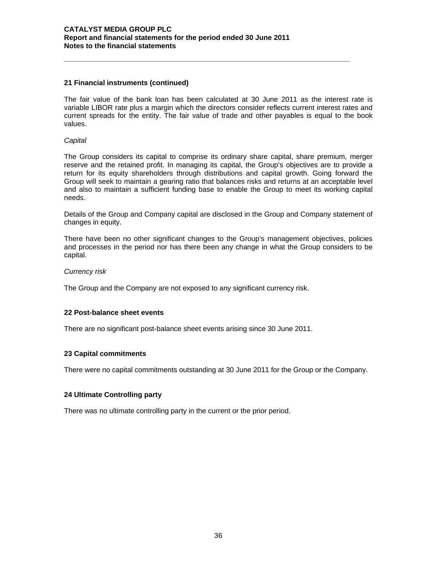# **21 Financial instruments (continued)**

The fair value of the bank loan has been calculated at 30 June 2011 as the interest rate is variable LIBOR rate plus a margin which the directors consider reflects current interest rates and current spreads for the entity. The fair value of trade and other payables is equal to the book values.

**\_\_\_\_\_\_\_\_\_\_\_\_\_\_\_\_\_\_\_\_\_\_\_\_\_\_\_\_\_\_\_\_\_\_\_\_\_\_\_\_\_\_\_\_\_\_\_\_\_\_\_\_\_\_\_\_\_\_\_\_\_\_\_\_\_\_\_\_\_\_\_\_** 

#### *Capital*

The Group considers its capital to comprise its ordinary share capital, share premium, merger reserve and the retained profit. In managing its capital, the Group's objectives are to provide a return for its equity shareholders through distributions and capital growth. Going forward the Group will seek to maintain a gearing ratio that balances risks and returns at an acceptable level and also to maintain a sufficient funding base to enable the Group to meet its working capital needs.

Details of the Group and Company capital are disclosed in the Group and Company statement of changes in equity.

There have been no other significant changes to the Group's management objectives, policies and processes in the period nor has there been any change in what the Group considers to be capital.

#### *Currency risk*

The Group and the Company are not exposed to any significant currency risk.

#### **22 Post-balance sheet events**

There are no significant post-balance sheet events arising since 30 June 2011.

#### **23 Capital commitments**

There were no capital commitments outstanding at 30 June 2011 for the Group or the Company.

#### **24 Ultimate Controlling party**

There was no ultimate controlling party in the current or the prior period.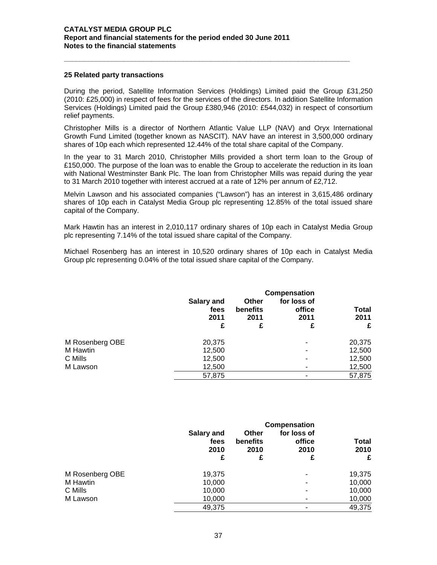#### **25 Related party transactions**

During the period, Satellite Information Services (Holdings) Limited paid the Group £31,250 (2010: £25,000) in respect of fees for the services of the directors. In addition Satellite Information Services (Holdings) Limited paid the Group £380,946 (2010: £544,032) in respect of consortium relief payments.

**\_\_\_\_\_\_\_\_\_\_\_\_\_\_\_\_\_\_\_\_\_\_\_\_\_\_\_\_\_\_\_\_\_\_\_\_\_\_\_\_\_\_\_\_\_\_\_\_\_\_\_\_\_\_\_\_\_\_\_\_\_\_\_\_\_\_\_\_\_\_\_\_** 

Christopher Mills is a director of Northern Atlantic Value LLP (NAV) and Oryx International Growth Fund Limited (together known as NASCIT). NAV have an interest in 3,500,000 ordinary shares of 10p each which represented 12.44% of the total share capital of the Company.

In the year to 31 March 2010, Christopher Mills provided a short term loan to the Group of £150,000. The purpose of the loan was to enable the Group to accelerate the reduction in its loan with National Westminster Bank Plc. The loan from Christopher Mills was repaid during the year to 31 March 2010 together with interest accrued at a rate of 12% per annum of £2,712.

Melvin Lawson and his associated companies ("Lawson") has an interest in 3,615,486 ordinary shares of 10p each in Catalyst Media Group plc representing 12.85% of the total issued share capital of the Company.

Mark Hawtin has an interest in 2,010,117 ordinary shares of 10p each in Catalyst Media Group plc representing 7.14% of the total issued share capital of the Company.

Michael Rosenberg has an interest in 10,520 ordinary shares of 10p each in Catalyst Media Group plc representing 0.04% of the total issued share capital of the Company.

|                 | Salary and<br>fees<br>2011<br>£ | <b>Other</b><br>benefits<br>2011<br>£ | Compensation<br>for loss of<br>office<br>2011<br>£ | Total<br>2011<br>£ |
|-----------------|---------------------------------|---------------------------------------|----------------------------------------------------|--------------------|
| M Rosenberg OBE | 20,375                          |                                       |                                                    | 20,375             |
| M Hawtin        | 12,500                          |                                       | ٠                                                  | 12,500             |
| C Mills         | 12,500                          |                                       |                                                    | 12,500             |
| M Lawson        | 12,500                          |                                       |                                                    | 12,500             |
|                 | 57,875                          |                                       | ٠                                                  | 57,875             |

|                 | Compensation                    |                                |                                    |                    |  |  |
|-----------------|---------------------------------|--------------------------------|------------------------------------|--------------------|--|--|
|                 | Salary and<br>fees<br>2010<br>£ | Other<br>benefits<br>2010<br>£ | for loss of<br>office<br>2010<br>£ | Total<br>2010<br>£ |  |  |
| M Rosenberg OBE | 19,375                          |                                | ۰                                  | 19,375             |  |  |
| M Hawtin        | 10,000                          |                                | $\overline{\phantom{0}}$           | 10,000             |  |  |
| C Mills         | 10,000                          |                                |                                    | 10,000             |  |  |
| M Lawson        | 10,000                          |                                | ۰                                  | 10,000             |  |  |
|                 | 49,375                          |                                |                                    | 49,375             |  |  |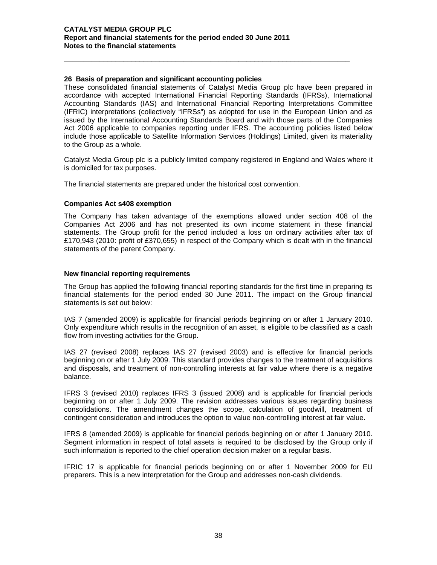### **26 Basis of preparation and significant accounting policies**

These consolidated financial statements of Catalyst Media Group plc have been prepared in accordance with accepted International Financial Reporting Standards (IFRSs), International Accounting Standards (IAS) and International Financial Reporting Interpretations Committee (IFRIC) interpretations (collectively "IFRSs") as adopted for use in the European Union and as issued by the International Accounting Standards Board and with those parts of the Companies Act 2006 applicable to companies reporting under IFRS. The accounting policies listed below include those applicable to Satellite Information Services (Holdings) Limited, given its materiality to the Group as a whole.

**\_\_\_\_\_\_\_\_\_\_\_\_\_\_\_\_\_\_\_\_\_\_\_\_\_\_\_\_\_\_\_\_\_\_\_\_\_\_\_\_\_\_\_\_\_\_\_\_\_\_\_\_\_\_\_\_\_\_\_\_\_\_\_\_\_\_\_\_\_\_\_\_** 

Catalyst Media Group plc is a publicly limited company registered in England and Wales where it is domiciled for tax purposes.

The financial statements are prepared under the historical cost convention.

#### **Companies Act s408 exemption**

The Company has taken advantage of the exemptions allowed under section 408 of the Companies Act 2006 and has not presented its own income statement in these financial statements. The Group profit for the period included a loss on ordinary activities after tax of £170,943 (2010: profit of £370,655) in respect of the Company which is dealt with in the financial statements of the parent Company.

#### **New financial reporting requirements**

The Group has applied the following financial reporting standards for the first time in preparing its financial statements for the period ended 30 June 2011. The impact on the Group financial statements is set out below:

IAS 7 (amended 2009) is applicable for financial periods beginning on or after 1 January 2010. Only expenditure which results in the recognition of an asset, is eligible to be classified as a cash flow from investing activities for the Group.

IAS 27 (revised 2008) replaces IAS 27 (revised 2003) and is effective for financial periods beginning on or after 1 July 2009. This standard provides changes to the treatment of acquisitions and disposals, and treatment of non-controlling interests at fair value where there is a negative balance.

IFRS 3 (revised 2010) replaces IFRS 3 (issued 2008) and is applicable for financial periods beginning on or after 1 July 2009. The revision addresses various issues regarding business consolidations. The amendment changes the scope, calculation of goodwill, treatment of contingent consideration and introduces the option to value non-controlling interest at fair value.

IFRS 8 (amended 2009) is applicable for financial periods beginning on or after 1 January 2010. Segment information in respect of total assets is required to be disclosed by the Group only if such information is reported to the chief operation decision maker on a regular basis.

IFRIC 17 is applicable for financial periods beginning on or after 1 November 2009 for EU preparers. This is a new interpretation for the Group and addresses non-cash dividends.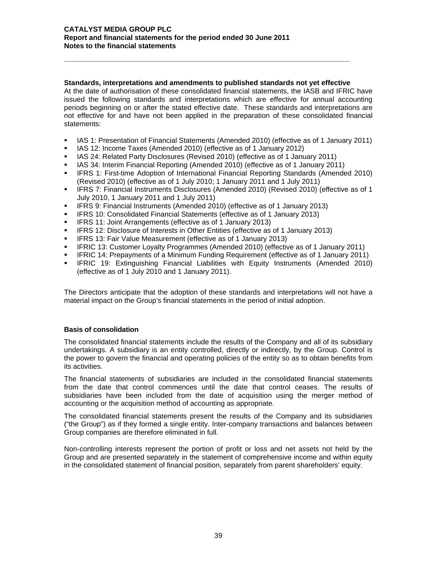#### **Standards, interpretations and amendments to published standards not yet effective**

**\_\_\_\_\_\_\_\_\_\_\_\_\_\_\_\_\_\_\_\_\_\_\_\_\_\_\_\_\_\_\_\_\_\_\_\_\_\_\_\_\_\_\_\_\_\_\_\_\_\_\_\_\_\_\_\_\_\_\_\_\_\_\_\_\_\_\_\_\_\_\_\_** 

At the date of authorisation of these consolidated financial statements, the IASB and IFRIC have issued the following standards and interpretations which are effective for annual accounting periods beginning on or after the stated effective date. These standards and interpretations are not effective for and have not been applied in the preparation of these consolidated financial statements:

- **ICC 1: Presentation of Financial Statements (Amended 2010) (effective as of 1 January 2011)**
- **IFMUALE 12: Income Taxes (Amended 2010) (effective as of 1 January 2012)**
- IAS 24: Related Party Disclosures (Revised 2010) (effective as of 1 January 2011)
- IAS 34: Interim Financial Reporting (Amended 2010) (effective as of 1 January 2011)
- **IFRS 1: First-time Adoption of International Financial Reporting Standards (Amended 2010)** (Revised 2010) (effective as of 1 July 2010; 1 January 2011 and 1 July 2011)
- IFRS 7: Financial Instruments Disclosures (Amended 2010) (Revised 2010) (effective as of 1 July 2010, 1 January 2011 and 1 July 2011)
- IFRS 9: Financial Instruments (Amended 2010) (effective as of 1 January 2013)
- IFRS 10: Consolidated Financial Statements (effective as of 1 January 2013)
- IFRS 11: Joint Arrangements (effective as of 1 January 2013)
- **IFRS 12: Disclosure of Interests in Other Entities (effective as of 1 January 2013)**
- **FRICE 13: Fair Value Measurement (effective as of 1 January 2013)**
- **IFRIC 13: Customer Loyalty Programmes (Amended 2010) (effective as of 1 January 2011)**
- **IFRIC 14: Prepayments of a Minimum Funding Requirement (effective as of 1 January 2011)**
- **IFRIC 19: Extinguishing Financial Liabilities with Equity Instruments (Amended 2010)** (effective as of 1 July 2010 and 1 January 2011).

The Directors anticipate that the adoption of these standards and interpretations will not have a material impact on the Group's financial statements in the period of initial adoption.

#### **Basis of consolidation**

The consolidated financial statements include the results of the Company and all of its subsidiary undertakings. A subsidiary is an entity controlled, directly or indirectly, by the Group. Control is the power to govern the financial and operating policies of the entity so as to obtain benefits from its activities.

The financial statements of subsidiaries are included in the consolidated financial statements from the date that control commences until the date that control ceases. The results of subsidiaries have been included from the date of acquisition using the merger method of accounting or the acquisition method of accounting as appropriate.

The consolidated financial statements present the results of the Company and its subsidiaries ("the Group") as if they formed a single entity. Inter-company transactions and balances between Group companies are therefore eliminated in full.

Non-controlling interests represent the portion of profit or loss and net assets not held by the Group and are presented separately in the statement of comprehensive income and within equity in the consolidated statement of financial position, separately from parent shareholders' equity.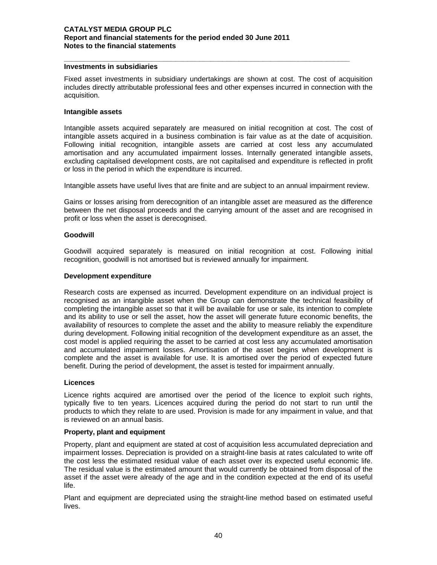# **Investments in subsidiaries**

Fixed asset investments in subsidiary undertakings are shown at cost. The cost of acquisition includes directly attributable professional fees and other expenses incurred in connection with the acquisition.

**\_\_\_\_\_\_\_\_\_\_\_\_\_\_\_\_\_\_\_\_\_\_\_\_\_\_\_\_\_\_\_\_\_\_\_\_\_\_\_\_\_\_\_\_\_\_\_\_\_\_\_\_\_\_\_\_\_\_\_\_\_\_\_\_\_\_\_\_\_\_\_\_** 

#### **Intangible assets**

Intangible assets acquired separately are measured on initial recognition at cost. The cost of intangible assets acquired in a business combination is fair value as at the date of acquisition. Following initial recognition, intangible assets are carried at cost less any accumulated amortisation and any accumulated impairment losses. Internally generated intangible assets, excluding capitalised development costs, are not capitalised and expenditure is reflected in profit or loss in the period in which the expenditure is incurred.

Intangible assets have useful lives that are finite and are subject to an annual impairment review.

Gains or losses arising from derecognition of an intangible asset are measured as the difference between the net disposal proceeds and the carrying amount of the asset and are recognised in profit or loss when the asset is derecognised.

#### **Goodwill**

Goodwill acquired separately is measured on initial recognition at cost. Following initial recognition, goodwill is not amortised but is reviewed annually for impairment.

#### **Development expenditure**

Research costs are expensed as incurred. Development expenditure on an individual project is recognised as an intangible asset when the Group can demonstrate the technical feasibility of completing the intangible asset so that it will be available for use or sale, its intention to complete and its ability to use or sell the asset, how the asset will generate future economic benefits, the availability of resources to complete the asset and the ability to measure reliably the expenditure during development. Following initial recognition of the development expenditure as an asset, the cost model is applied requiring the asset to be carried at cost less any accumulated amortisation and accumulated impairment losses. Amortisation of the asset begins when development is complete and the asset is available for use. It is amortised over the period of expected future benefit. During the period of development, the asset is tested for impairment annually.

#### **Licences**

Licence rights acquired are amortised over the period of the licence to exploit such rights, typically five to ten years. Licences acquired during the period do not start to run until the products to which they relate to are used. Provision is made for any impairment in value, and that is reviewed on an annual basis.

#### **Property, plant and equipment**

Property, plant and equipment are stated at cost of acquisition less accumulated depreciation and impairment losses. Depreciation is provided on a straight-line basis at rates calculated to write off the cost less the estimated residual value of each asset over its expected useful economic life. The residual value is the estimated amount that would currently be obtained from disposal of the asset if the asset were already of the age and in the condition expected at the end of its useful life.

Plant and equipment are depreciated using the straight-line method based on estimated useful lives.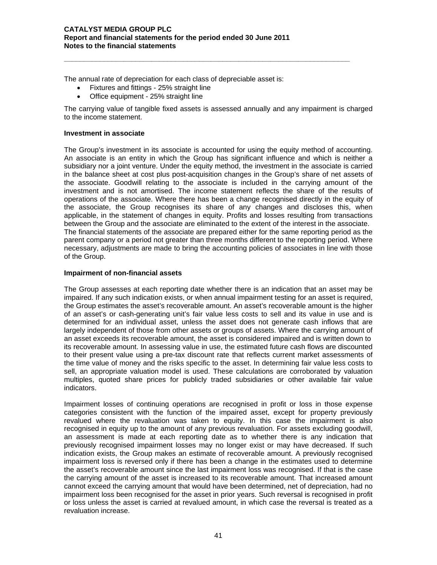The annual rate of depreciation for each class of depreciable asset is:

- Fixtures and fittings 25% straight line
- Office equipment 25% straight line

The carrying value of tangible fixed assets is assessed annually and any impairment is charged to the income statement.

**\_\_\_\_\_\_\_\_\_\_\_\_\_\_\_\_\_\_\_\_\_\_\_\_\_\_\_\_\_\_\_\_\_\_\_\_\_\_\_\_\_\_\_\_\_\_\_\_\_\_\_\_\_\_\_\_\_\_\_\_\_\_\_\_\_\_\_\_\_\_\_\_** 

#### **Investment in associate**

The Group's investment in its associate is accounted for using the equity method of accounting. An associate is an entity in which the Group has significant influence and which is neither a subsidiary nor a joint venture. Under the equity method, the investment in the associate is carried in the balance sheet at cost plus post-acquisition changes in the Group's share of net assets of the associate. Goodwill relating to the associate is included in the carrying amount of the investment and is not amortised. The income statement reflects the share of the results of operations of the associate. Where there has been a change recognised directly in the equity of the associate, the Group recognises its share of any changes and discloses this, when applicable, in the statement of changes in equity. Profits and losses resulting from transactions between the Group and the associate are eliminated to the extent of the interest in the associate. The financial statements of the associate are prepared either for the same reporting period as the parent company or a period not greater than three months different to the reporting period. Where necessary, adjustments are made to bring the accounting policies of associates in line with those of the Group.

# **Impairment of non-financial assets**

The Group assesses at each reporting date whether there is an indication that an asset may be impaired. If any such indication exists, or when annual impairment testing for an asset is required, the Group estimates the asset's recoverable amount. An asset's recoverable amount is the higher of an asset's or cash-generating unit's fair value less costs to sell and its value in use and is determined for an individual asset, unless the asset does not generate cash inflows that are largely independent of those from other assets or groups of assets. Where the carrying amount of an asset exceeds its recoverable amount, the asset is considered impaired and is written down to its recoverable amount. In assessing value in use, the estimated future cash flows are discounted to their present value using a pre-tax discount rate that reflects current market assessments of the time value of money and the risks specific to the asset. In determining fair value less costs to sell, an appropriate valuation model is used. These calculations are corroborated by valuation multiples, quoted share prices for publicly traded subsidiaries or other available fair value indicators.

Impairment losses of continuing operations are recognised in profit or loss in those expense categories consistent with the function of the impaired asset, except for property previously revalued where the revaluation was taken to equity. In this case the impairment is also recognised in equity up to the amount of any previous revaluation. For assets excluding goodwill, an assessment is made at each reporting date as to whether there is any indication that previously recognised impairment losses may no longer exist or may have decreased. If such indication exists, the Group makes an estimate of recoverable amount. A previously recognised impairment loss is reversed only if there has been a change in the estimates used to determine the asset's recoverable amount since the last impairment loss was recognised. If that is the case the carrying amount of the asset is increased to its recoverable amount. That increased amount cannot exceed the carrying amount that would have been determined, net of depreciation, had no impairment loss been recognised for the asset in prior years. Such reversal is recognised in profit or loss unless the asset is carried at revalued amount, in which case the reversal is treated as a revaluation increase.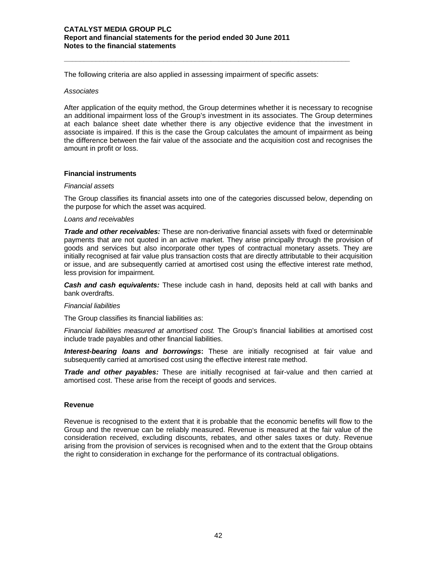The following criteria are also applied in assessing impairment of specific assets:

**\_\_\_\_\_\_\_\_\_\_\_\_\_\_\_\_\_\_\_\_\_\_\_\_\_\_\_\_\_\_\_\_\_\_\_\_\_\_\_\_\_\_\_\_\_\_\_\_\_\_\_\_\_\_\_\_\_\_\_\_\_\_\_\_\_\_\_\_\_\_\_\_** 

#### *Associates*

After application of the equity method, the Group determines whether it is necessary to recognise an additional impairment loss of the Group's investment in its associates. The Group determines at each balance sheet date whether there is any objective evidence that the investment in associate is impaired. If this is the case the Group calculates the amount of impairment as being the difference between the fair value of the associate and the acquisition cost and recognises the amount in profit or loss.

#### **Financial instruments**

#### *Financial assets*

The Group classifies its financial assets into one of the categories discussed below, depending on the purpose for which the asset was acquired.

#### *Loans and receivables*

*Trade and other receivables:* These are non-derivative financial assets with fixed or determinable payments that are not quoted in an active market. They arise principally through the provision of goods and services but also incorporate other types of contractual monetary assets. They are initially recognised at fair value plus transaction costs that are directly attributable to their acquisition or issue, and are subsequently carried at amortised cost using the effective interest rate method, less provision for impairment.

*Cash and cash equivalents:* These include cash in hand, deposits held at call with banks and bank overdrafts.

# *Financial liabilities*

The Group classifies its financial liabilities as:

*Financial liabilities measured at amortised cost.* The Group's financial liabilities at amortised cost include trade payables and other financial liabilities.

**Interest-bearing loans and borrowings:** These are initially recognised at fair value and subsequently carried at amortised cost using the effective interest rate method.

*Trade and other payables:* These are initially recognised at fair-value and then carried at amortised cost. These arise from the receipt of goods and services.

#### **Revenue**

Revenue is recognised to the extent that it is probable that the economic benefits will flow to the Group and the revenue can be reliably measured. Revenue is measured at the fair value of the consideration received, excluding discounts, rebates, and other sales taxes or duty. Revenue arising from the provision of services is recognised when and to the extent that the Group obtains the right to consideration in exchange for the performance of its contractual obligations.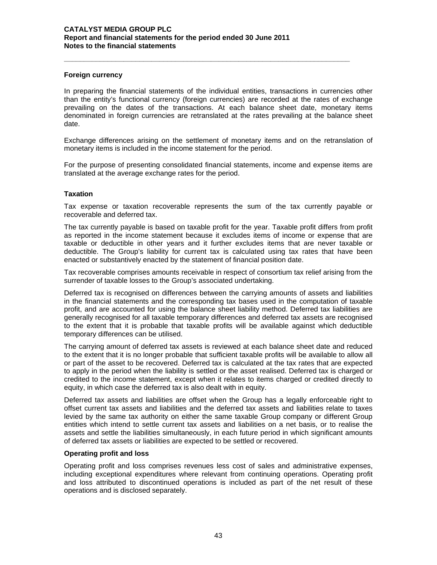#### **Foreign currency**

In preparing the financial statements of the individual entities, transactions in currencies other than the entity's functional currency (foreign currencies) are recorded at the rates of exchange prevailing on the dates of the transactions. At each balance sheet date, monetary items denominated in foreign currencies are retranslated at the rates prevailing at the balance sheet date.

**\_\_\_\_\_\_\_\_\_\_\_\_\_\_\_\_\_\_\_\_\_\_\_\_\_\_\_\_\_\_\_\_\_\_\_\_\_\_\_\_\_\_\_\_\_\_\_\_\_\_\_\_\_\_\_\_\_\_\_\_\_\_\_\_\_\_\_\_\_\_\_\_** 

Exchange differences arising on the settlement of monetary items and on the retranslation of monetary items is included in the income statement for the period.

For the purpose of presenting consolidated financial statements, income and expense items are translated at the average exchange rates for the period.

# **Taxation**

Tax expense or taxation recoverable represents the sum of the tax currently payable or recoverable and deferred tax.

The tax currently payable is based on taxable profit for the year. Taxable profit differs from profit as reported in the income statement because it excludes items of income or expense that are taxable or deductible in other years and it further excludes items that are never taxable or deductible. The Group's liability for current tax is calculated using tax rates that have been enacted or substantively enacted by the statement of financial position date.

Tax recoverable comprises amounts receivable in respect of consortium tax relief arising from the surrender of taxable losses to the Group's associated undertaking.

Deferred tax is recognised on differences between the carrying amounts of assets and liabilities in the financial statements and the corresponding tax bases used in the computation of taxable profit, and are accounted for using the balance sheet liability method. Deferred tax liabilities are generally recognised for all taxable temporary differences and deferred tax assets are recognised to the extent that it is probable that taxable profits will be available against which deductible temporary differences can be utilised.

The carrying amount of deferred tax assets is reviewed at each balance sheet date and reduced to the extent that it is no longer probable that sufficient taxable profits will be available to allow all or part of the asset to be recovered. Deferred tax is calculated at the tax rates that are expected to apply in the period when the liability is settled or the asset realised. Deferred tax is charged or credited to the income statement, except when it relates to items charged or credited directly to equity, in which case the deferred tax is also dealt with in equity.

Deferred tax assets and liabilities are offset when the Group has a legally enforceable right to offset current tax assets and liabilities and the deferred tax assets and liabilities relate to taxes levied by the same tax authority on either the same taxable Group company or different Group entities which intend to settle current tax assets and liabilities on a net basis, or to realise the assets and settle the liabilities simultaneously, in each future period in which significant amounts of deferred tax assets or liabilities are expected to be settled or recovered.

#### **Operating profit and loss**

Operating profit and loss comprises revenues less cost of sales and administrative expenses, including exceptional expenditures where relevant from continuing operations. Operating profit and loss attributed to discontinued operations is included as part of the net result of these operations and is disclosed separately.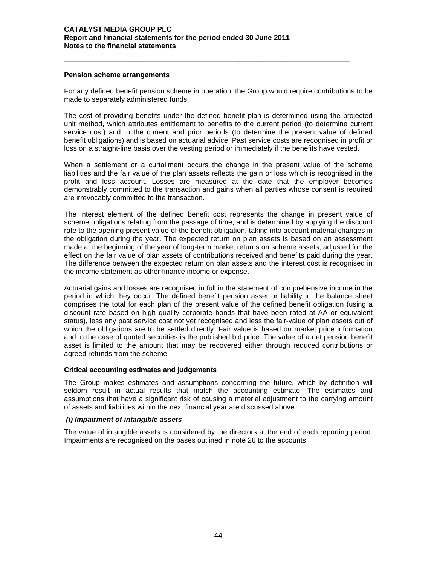#### **Pension scheme arrangements**

For any defined benefit pension scheme in operation, the Group would require contributions to be made to separately administered funds.

**\_\_\_\_\_\_\_\_\_\_\_\_\_\_\_\_\_\_\_\_\_\_\_\_\_\_\_\_\_\_\_\_\_\_\_\_\_\_\_\_\_\_\_\_\_\_\_\_\_\_\_\_\_\_\_\_\_\_\_\_\_\_\_\_\_\_\_\_\_\_\_\_** 

The cost of providing benefits under the defined benefit plan is determined using the projected unit method, which attributes entitlement to benefits to the current period (to determine current service cost) and to the current and prior periods (to determine the present value of defined benefit obligations) and is based on actuarial advice. Past service costs are recognised in profit or loss on a straight-line basis over the vesting period or immediately if the benefits have vested.

When a settlement or a curtailment occurs the change in the present value of the scheme liabilities and the fair value of the plan assets reflects the gain or loss which is recognised in the profit and loss account. Losses are measured at the date that the employer becomes demonstrably committed to the transaction and gains when all parties whose consent is required are irrevocably committed to the transaction.

The interest element of the defined benefit cost represents the change in present value of scheme obligations relating from the passage of time, and is determined by applying the discount rate to the opening present value of the benefit obligation, taking into account material changes in the obligation during the year. The expected return on plan assets is based on an assessment made at the beginning of the year of long-term market returns on scheme assets, adjusted for the effect on the fair value of plan assets of contributions received and benefits paid during the year. The difference between the expected return on plan assets and the interest cost is recognised in the income statement as other finance income or expense.

Actuarial gains and losses are recognised in full in the statement of comprehensive income in the period in which they occur. The defined benefit pension asset or liability in the balance sheet comprises the total for each plan of the present value of the defined benefit obligation (using a discount rate based on high quality corporate bonds that have been rated at AA or equivalent status), less any past service cost not yet recognised and less the fair-value of plan assets out of which the obligations are to be settled directly. Fair value is based on market price information and in the case of quoted securities is the published bid price. The value of a net pension benefit asset is limited to the amount that may be recovered either through reduced contributions or agreed refunds from the scheme

#### **Critical accounting estimates and judgements**

The Group makes estimates and assumptions concerning the future, which by definition will seldom result in actual results that match the accounting estimate. The estimates and assumptions that have a significant risk of causing a material adjustment to the carrying amount of assets and liabilities within the next financial year are discussed above.

#### *(i) Impairment of intangible assets*

The value of intangible assets is considered by the directors at the end of each reporting period. Impairments are recognised on the bases outlined in note 26 to the accounts.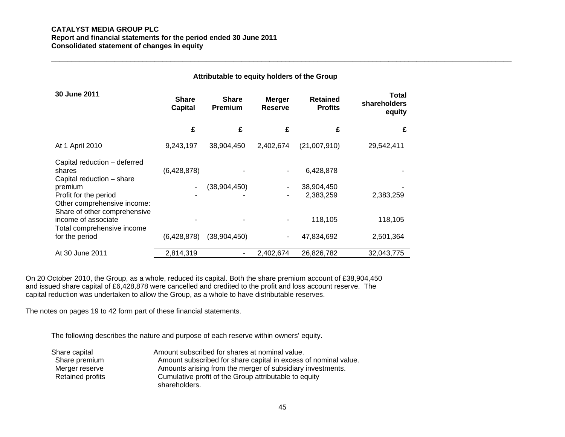#### **CATALYST MEDIA GROUP PLC Report and financial statements for the period ended 30 June 2011 Consolidated statement of changes in equity**

|                                                                                                             |                                | Attributable to equity holders of the Group |                                 |                                   |                                 |  |
|-------------------------------------------------------------------------------------------------------------|--------------------------------|---------------------------------------------|---------------------------------|-----------------------------------|---------------------------------|--|
| 30 June 2011                                                                                                | <b>Share</b><br><b>Capital</b> | <b>Share</b><br><b>Premium</b>              | <b>Merger</b><br><b>Reserve</b> | <b>Retained</b><br><b>Profits</b> | Total<br>shareholders<br>equity |  |
|                                                                                                             | £                              | £                                           | £                               | £                                 | £                               |  |
| At 1 April 2010                                                                                             | 9,243,197                      | 38,904,450                                  | 2,402,674                       | (21,007,910)                      | 29,542,411                      |  |
| Capital reduction - deferred<br>shares<br>Capital reduction - share<br>premium                              | (6,428,878)                    | (38,904,450)                                |                                 | 6,428,878<br>38,904,450           |                                 |  |
| Profit for the period<br>Other comprehensive income:<br>Share of other comprehensive<br>income of associate |                                |                                             |                                 | 2,383,259<br>118,105              | 2,383,259<br>118,105            |  |
| Total comprehensive income<br>for the period                                                                | (6,428,878)                    | (38,904,450)                                |                                 | 47,834,692                        | 2,501,364                       |  |
| At 30 June 2011                                                                                             | 2,814,319                      |                                             | 2,402,674                       | 26,826,782                        | 32,043,775                      |  |

On 20 October 2010, the Group, as a whole, reduced its capital. Both the share premium account of £38,904,450 and issued share capital of £6,428,878 were cancelled and credited to the profit and loss account reserve. The capital reduction was undertaken to allow the Group, as a whole to have distributable reserves.

The notes on pages 19 to 42 form part of these financial statements.

The following describes the nature and purpose of each reserve within owners' equity.

| Share capital    | Amount subscribed for shares at nominal value.                  |
|------------------|-----------------------------------------------------------------|
| Share premium    | Amount subscribed for share capital in excess of nominal value. |
| Merger reserve   | Amounts arising from the merger of subsidiary investments.      |
| Retained profits | Cumulative profit of the Group attributable to equity           |
|                  | shareholders.                                                   |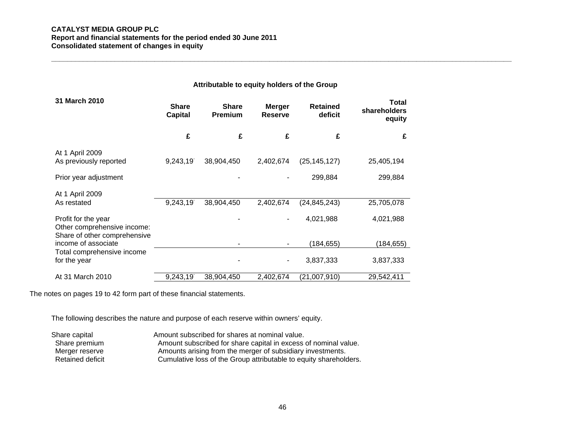#### **CATALYST MEDIA GROUP PLC Report and financial statements for the period ended 30 June 2011 Consolidated statement of changes in equity**

# **Attributable to equity holders of the Group**

| 31 March 2010                                                                      | <b>Share</b><br><b>Capital</b> | <b>Share</b><br><b>Premium</b> | <b>Merger</b><br>Reserve | <b>Retained</b><br>deficit | <b>Total</b><br>shareholders<br>equity |
|------------------------------------------------------------------------------------|--------------------------------|--------------------------------|--------------------------|----------------------------|----------------------------------------|
|                                                                                    | £                              | £                              | £                        | £                          | £                                      |
| At 1 April 2009<br>As previously reported                                          | 9,243,19                       | 38,904,450                     | 2,402,674                | (25, 145, 127)             | 25,405,194                             |
| Prior year adjustment                                                              |                                |                                |                          | 299,884                    | 299,884                                |
| At 1 April 2009<br>As restated                                                     | 9,243,19                       | 38,904,450                     | 2,402,674                | (24, 845, 243)             | 25,705,078                             |
| Profit for the year<br>Other comprehensive income:<br>Share of other comprehensive |                                |                                |                          | 4,021,988                  | 4,021,988                              |
| income of associate                                                                |                                |                                |                          | (184, 655)                 | (184, 655)                             |
| Total comprehensive income<br>for the year                                         |                                |                                |                          | 3,837,333                  | 3,837,333                              |
| At 31 March 2010                                                                   | 9,243,19                       | 38,904,450                     | 2,402,674                | (21,007,910)               | 29,542,411                             |

The notes on pages 19 to 42 form part of these financial statements.

The following describes the nature and purpose of each reserve within owners' equity.

| Share capital    | Amount subscribed for shares at nominal value.                    |
|------------------|-------------------------------------------------------------------|
| Share premium    | Amount subscribed for share capital in excess of nominal value.   |
| Merger reserve   | Amounts arising from the merger of subsidiary investments.        |
| Retained deficit | Cumulative loss of the Group attributable to equity shareholders. |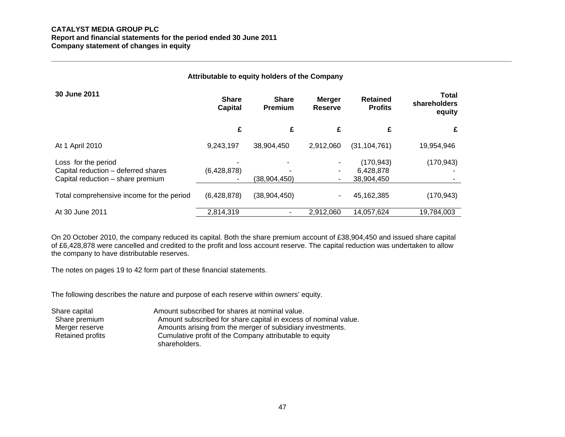#### **CATALYST MEDIA GROUP PLC Report and financial statements for the period ended 30 June 2011 Company statement of changes in equity**

| Attributable to equity holders of the Company                                                   |                                |                                |                                 |                                       |                                 |  |
|-------------------------------------------------------------------------------------------------|--------------------------------|--------------------------------|---------------------------------|---------------------------------------|---------------------------------|--|
| 30 June 2011                                                                                    | <b>Share</b><br><b>Capital</b> | <b>Share</b><br><b>Premium</b> | <b>Merger</b><br><b>Reserve</b> | <b>Retained</b><br><b>Profits</b>     | Total<br>shareholders<br>equity |  |
|                                                                                                 | £                              | £                              | £                               | £                                     | £                               |  |
| At 1 April 2010                                                                                 | 9,243,197                      | 38,904,450                     | 2,912,060                       | (31, 104, 761)                        | 19,954,946                      |  |
| Loss for the period<br>Capital reduction - deferred shares<br>Capital reduction - share premium | (6,428,878)                    | (38, 904, 450)                 | ۰.                              | (170, 943)<br>6,428,878<br>38,904,450 | (170, 943)                      |  |
| Total comprehensive income for the period                                                       | (6,428,878)                    | (38, 904, 450)                 | ۰.                              | 45,162,385                            | (170, 943)                      |  |
| At 30 June 2011                                                                                 | 2,814,319                      |                                | 2,912,060                       | 14,057,624                            | 19,784,003                      |  |

On 20 October 2010, the company reduced its capital. Both the share premium account of £38,904,450 and issued share capital of £6,428,878 were cancelled and credited to the profit and loss account reserve. The capital reduction was undertaken to allow the company to have distributable reserves.

The notes on pages 19 to 42 form part of these financial statements.

The following describes the nature and purpose of each reserve within owners' equity.

| Share capital           | Amount subscribed for shares at nominal value.                           |
|-------------------------|--------------------------------------------------------------------------|
| Share premium           | Amount subscribed for share capital in excess of nominal value.          |
| Merger reserve          | Amounts arising from the merger of subsidiary investments.               |
| <b>Retained profits</b> | Cumulative profit of the Company attributable to equity<br>shareholders. |
|                         |                                                                          |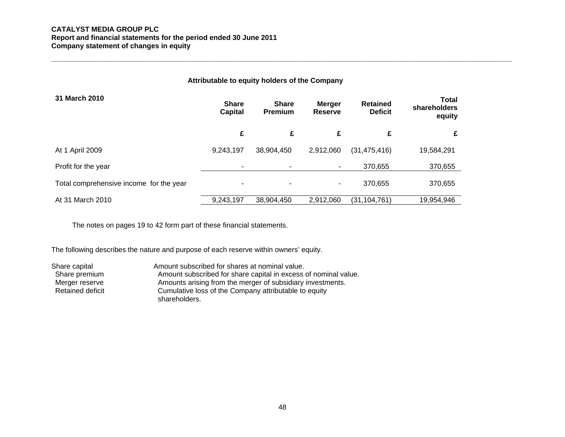#### **CATALYST MEDIA GROUP PLC Report and financial statements for the period ended 30 June 2011 Company statement of changes in equity**

| Attributable to equity holders of the Company |                                |                                |                                 |                                   |                                        |  |  |
|-----------------------------------------------|--------------------------------|--------------------------------|---------------------------------|-----------------------------------|----------------------------------------|--|--|
| 31 March 2010                                 | <b>Share</b><br><b>Capital</b> | <b>Share</b><br><b>Premium</b> | <b>Merger</b><br><b>Reserve</b> | <b>Retained</b><br><b>Deficit</b> | <b>Total</b><br>shareholders<br>equity |  |  |
|                                               | £                              | £                              | £                               | £                                 | £                                      |  |  |
| At 1 April 2009                               | 9,243,197                      | 38,904,450                     | 2,912,060                       | (31, 475, 416)                    | 19,584,291                             |  |  |
| Profit for the year                           | ۰                              |                                | ٠                               | 370,655                           | 370,655                                |  |  |
| Total comprehensive income for the year       | $\blacksquare$                 | $\overline{\phantom{0}}$       | ۰                               | 370,655                           | 370,655                                |  |  |
| At 31 March 2010                              | 9,243,197                      | 38,904,450                     | 2.912.060                       | (31, 104, 761)                    | 19,954,946                             |  |  |

The notes on pages 19 to 42 form part of these financial statements.

The following describes the nature and purpose of each reserve within owners' equity.

Share capital **Amount subscribed for shares at nominal value.**<br>Share premium **Amount subscribed for share capital in excess** Share premium Amount subscribed for share capital in excess of nominal value.<br>Merger reserve Amounts arising from the merger of subsidiary investments. Amounts arising from the merger of subsidiary investments. Retained deficit Cumulative loss of the Company attributable to equity shareholders.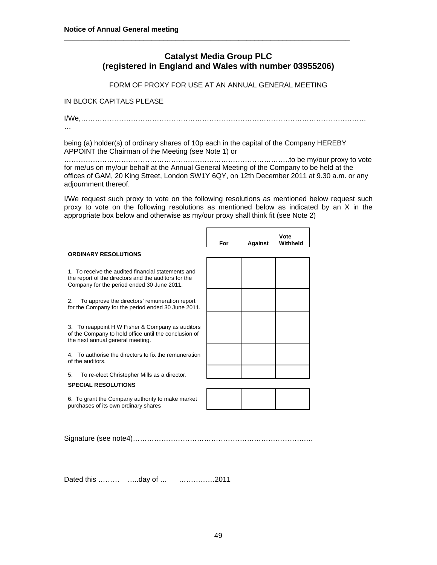# **Catalyst Media Group PLC (registered in England and Wales with number 03955206)**

**\_\_\_\_\_\_\_\_\_\_\_\_\_\_\_\_\_\_\_\_\_\_\_\_\_\_\_\_\_\_\_\_\_\_\_\_\_\_\_\_\_\_\_\_\_\_\_\_\_\_\_\_\_\_\_\_\_\_\_\_\_\_\_\_\_\_\_\_\_\_\_\_** 

FORM OF PROXY FOR USE AT AN ANNUAL GENERAL MEETING

# IN BLOCK CAPITALS PLEASE

I/We,…………………………………………………………………………………………………………

…

being (a) holder(s) of ordinary shares of 10p each in the capital of the Company HEREBY APPOINT the Chairman of the Meeting (see Note 1) or

…………………………………………………………………………………..to be my/our proxy to vote for me/us on my/our behalf at the Annual General Meeting of the Company to be held at the offices of GAM, 20 King Street, London SW1Y 6QY, on 12th December 2011 at 9.30 a.m. or any adjournment thereof.

I/We request such proxy to vote on the following resolutions as mentioned below request such proxy to vote on the following resolutions as mentioned below as indicated by an X in the appropriate box below and otherwise as my/our proxy shall think fit (see Note 2)

|                                                                                                                                                          | For | <b>Against</b> | Vote<br>Withheld |
|----------------------------------------------------------------------------------------------------------------------------------------------------------|-----|----------------|------------------|
| <b>ORDINARY RESOLUTIONS</b>                                                                                                                              |     |                |                  |
| 1. To receive the audited financial statements and<br>the report of the directors and the auditors for the<br>Company for the period ended 30 June 2011. |     |                |                  |
| To approve the directors' remuneration report<br>2.<br>for the Company for the period ended 30 June 2011.                                                |     |                |                  |
| 3. To reappoint H W Fisher & Company as auditors<br>of the Company to hold office until the conclusion of<br>the next annual general meeting.            |     |                |                  |
| 4. To authorise the directors to fix the remuneration<br>of the auditors.                                                                                |     |                |                  |
| To re-elect Christopher Mills as a director.<br>5.                                                                                                       |     |                |                  |
| <b>SPECIAL RESOLUTIONS</b>                                                                                                                               |     |                |                  |
| 6. To grant the Company authority to make market<br>purchases of its own ordinary shares                                                                 |     |                |                  |
| Signature (see note4)                                                                                                                                    |     |                |                  |

Dated this ……… …..day of … ……………2011